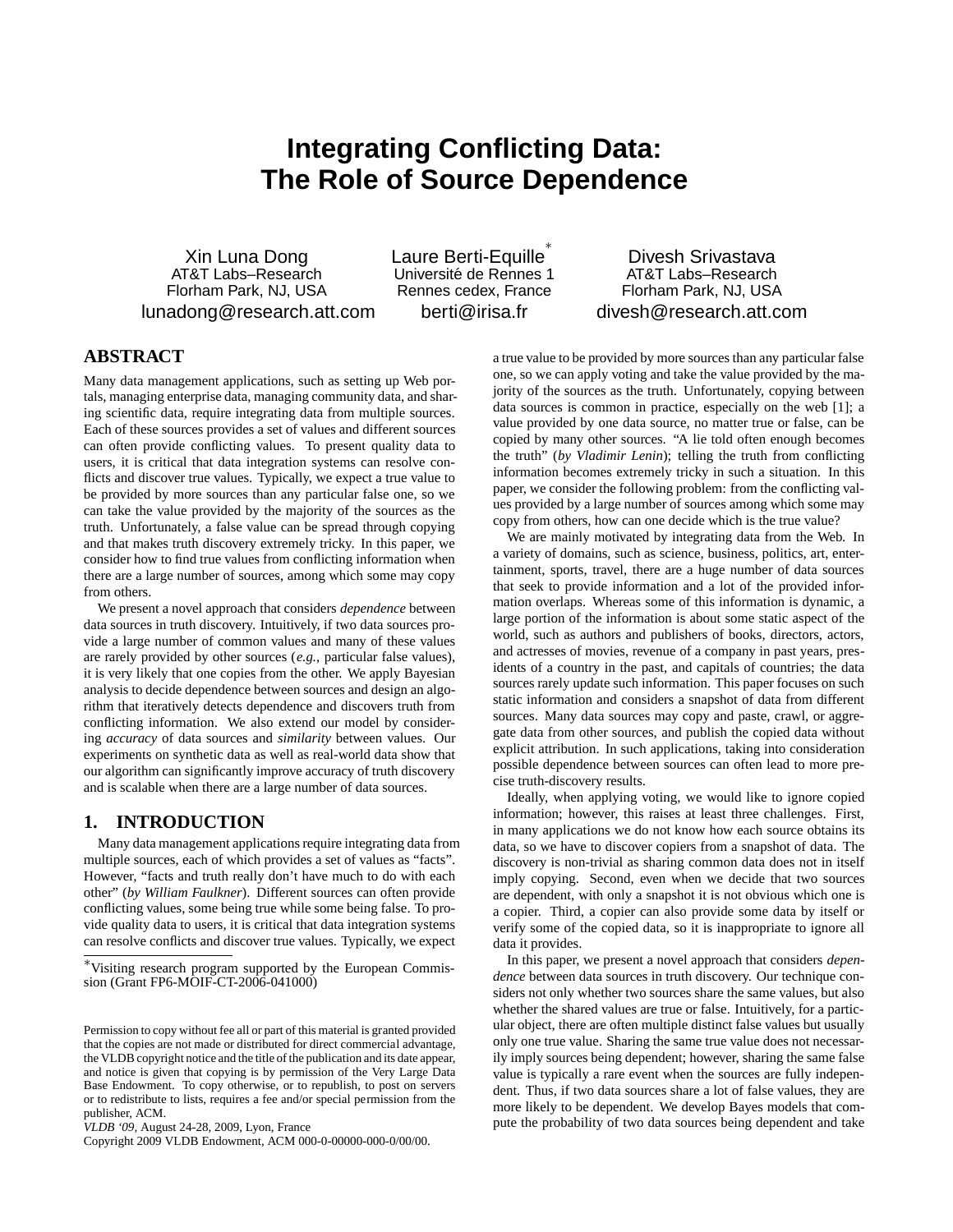# **Integrating Conflicting Data: The Role of Source Dependence**

Xin Luna Dong AT&T Labs–Research Florham Park, NJ, USA lunadong@research.att.com Laure Berti-Equille ∗ Université de Rennes 1 Rennes cedex, France berti@irisa.fr

Divesh Srivastava AT&T Labs–Research Florham Park, NJ, USA divesh@research.att.com

# **ABSTRACT**

Many data management applications, such as setting up Web portals, managing enterprise data, managing community data, and sharing scientific data, require integrating data from multiple sources. Each of these sources provides a set of values and different sources can often provide conflicting values. To present quality data to users, it is critical that data integration systems can resolve conflicts and discover true values. Typically, we expect a true value to be provided by more sources than any particular false one, so we can take the value provided by the majority of the sources as the truth. Unfortunately, a false value can be spread through copying and that makes truth discovery extremely tricky. In this paper, we consider how to find true values from conflicting information when there are a large number of sources, among which some may copy from others.

We present a novel approach that considers *dependence* between data sources in truth discovery. Intuitively, if two data sources provide a large number of common values and many of these values are rarely provided by other sources (*e.g.*, particular false values), it is very likely that one copies from the other. We apply Bayesian analysis to decide dependence between sources and design an algorithm that iteratively detects dependence and discovers truth from conflicting information. We also extend our model by considering *accuracy* of data sources and *similarity* between values. Our experiments on synthetic data as well as real-world data show that our algorithm can significantly improve accuracy of truth discovery and is scalable when there are a large number of data sources.

# **1. INTRODUCTION**

Many data management applications require integrating data from multiple sources, each of which provides a set of values as "facts". However, "facts and truth really don't have much to do with each other" (*by William Faulkner*). Different sources can often provide conflicting values, some being true while some being false. To provide quality data to users, it is critical that data integration systems can resolve conflicts and discover true values. Typically, we expect

*VLDB '09,* August 24-28, 2009, Lyon, France

a true value to be provided by more sources than any particular false one, so we can apply voting and take the value provided by the majority of the sources as the truth. Unfortunately, copying between data sources is common in practice, especially on the web [1]; a value provided by one data source, no matter true or false, can be copied by many other sources. "A lie told often enough becomes the truth" (*by Vladimir Lenin*); telling the truth from conflicting information becomes extremely tricky in such a situation. In this paper, we consider the following problem: from the conflicting values provided by a large number of sources among which some may copy from others, how can one decide which is the true value?

We are mainly motivated by integrating data from the Web. In a variety of domains, such as science, business, politics, art, entertainment, sports, travel, there are a huge number of data sources that seek to provide information and a lot of the provided information overlaps. Whereas some of this information is dynamic, a large portion of the information is about some static aspect of the world, such as authors and publishers of books, directors, actors, and actresses of movies, revenue of a company in past years, presidents of a country in the past, and capitals of countries; the data sources rarely update such information. This paper focuses on such static information and considers a snapshot of data from different sources. Many data sources may copy and paste, crawl, or aggregate data from other sources, and publish the copied data without explicit attribution. In such applications, taking into consideration possible dependence between sources can often lead to more precise truth-discovery results.

Ideally, when applying voting, we would like to ignore copied information; however, this raises at least three challenges. First, in many applications we do not know how each source obtains its data, so we have to discover copiers from a snapshot of data. The discovery is non-trivial as sharing common data does not in itself imply copying. Second, even when we decide that two sources are dependent, with only a snapshot it is not obvious which one is a copier. Third, a copier can also provide some data by itself or verify some of the copied data, so it is inappropriate to ignore all data it provides.

In this paper, we present a novel approach that considers *dependence* between data sources in truth discovery. Our technique considers not only whether two sources share the same values, but also whether the shared values are true or false. Intuitively, for a particular object, there are often multiple distinct false values but usually only one true value. Sharing the same true value does not necessarily imply sources being dependent; however, sharing the same false value is typically a rare event when the sources are fully independent. Thus, if two data sources share a lot of false values, they are more likely to be dependent. We develop Bayes models that compute the probability of two data sources being dependent and take

<sup>∗</sup>Visiting research program supported by the European Commission (Grant FP6-MOIF-CT-2006-041000)

Permission to copy without fee all or part of this material is granted provided that the copies are not made or distributed for direct commercial advantage, the VLDB copyright notice and the title of the publication and its date appear, and notice is given that copying is by permission of the Very Large Data Base Endowment. To copy otherwise, or to republish, to post on servers or to redistribute to lists, requires a fee and/or special permission from the publisher, ACM.

Copyright 2009 VLDB Endowment, ACM 000-0-00000-000-0/00/00.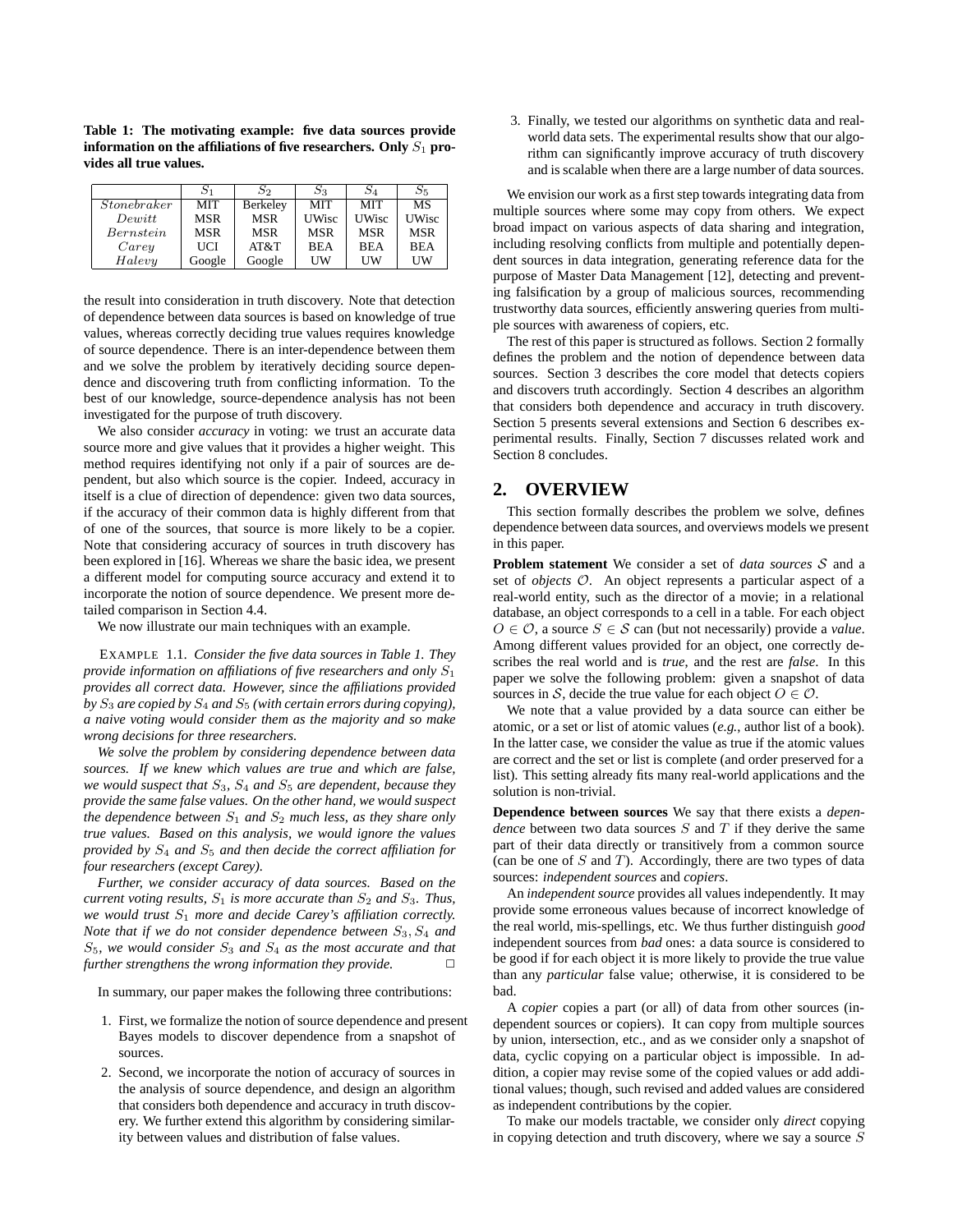**Table 1: The motivating example: five data sources provide** information on the affiliations of five researchers. Only  $S_1$  pro**vides all true values.**

|             | 51         | S2         | $S_3$        | $S_4$      | $S_5$        |
|-------------|------------|------------|--------------|------------|--------------|
| Stonebraker | <b>MIT</b> | Berkeley   | <b>MIT</b>   | <b>MIT</b> | <b>MS</b>    |
| Dewitt      | MSR        | <b>MSR</b> | <b>UWisc</b> | UWisc      | <b>UWisc</b> |
| Bernstein   | MSR        | <b>MSR</b> | <b>MSR</b>   | <b>MSR</b> | <b>MSR</b>   |
| Carey       | UCI        | AT&T       | <b>BEA</b>   | <b>BEA</b> | <b>BEA</b>   |
| Halevy      | Google     | Google     | UW           | UW         | UW           |

the result into consideration in truth discovery. Note that detection of dependence between data sources is based on knowledge of true values, whereas correctly deciding true values requires knowledge of source dependence. There is an inter-dependence between them and we solve the problem by iteratively deciding source dependence and discovering truth from conflicting information. To the best of our knowledge, source-dependence analysis has not been investigated for the purpose of truth discovery.

We also consider *accuracy* in voting: we trust an accurate data source more and give values that it provides a higher weight. This method requires identifying not only if a pair of sources are dependent, but also which source is the copier. Indeed, accuracy in itself is a clue of direction of dependence: given two data sources, if the accuracy of their common data is highly different from that of one of the sources, that source is more likely to be a copier. Note that considering accuracy of sources in truth discovery has been explored in [16]. Whereas we share the basic idea, we present a different model for computing source accuracy and extend it to incorporate the notion of source dependence. We present more detailed comparison in Section 4.4.

We now illustrate our main techniques with an example.

EXAMPLE 1.1. *Consider the five data sources in Table 1. They provide information on affiliations of five researchers and only*  $S_1$ *provides all correct data. However, since the affiliations provided by* S<sup>3</sup> *are copied by* S<sup>4</sup> *and* S<sup>5</sup> *(with certain errors during copying), a naive voting would consider them as the majority and so make wrong decisions for three researchers.*

*We solve the problem by considering dependence between data sources. If we knew which values are true and which are false, we would suspect that* S3*,* S<sup>4</sup> *and* S<sup>5</sup> *are dependent, because they provide the same false values. On the other hand, we would suspect the dependence between*  $S_1$  *and*  $S_2$  *much less, as they share only true values. Based on this analysis, we would ignore the values provided by* S<sup>4</sup> *and* S<sup>5</sup> *and then decide the correct affiliation for four researchers (except Carey).*

*Further, we consider accuracy of data sources. Based on the current voting results,*  $S_1$  *is more accurate than*  $S_2$  *and*  $S_3$ *. Thus, we would trust*  $S_1$  *more and decide Carey's affiliation correctly. Note that if we do not consider dependence between* S3, S<sup>4</sup> *and* S5*, we would consider* S<sup>3</sup> *and* S<sup>4</sup> *as the most accurate and that further strengthens the wrong information they provide.* ✷

In summary, our paper makes the following three contributions:

- 1. First, we formalize the notion of source dependence and present Bayes models to discover dependence from a snapshot of sources.
- 2. Second, we incorporate the notion of accuracy of sources in the analysis of source dependence, and design an algorithm that considers both dependence and accuracy in truth discovery. We further extend this algorithm by considering similarity between values and distribution of false values.

3. Finally, we tested our algorithms on synthetic data and realworld data sets. The experimental results show that our algorithm can significantly improve accuracy of truth discovery and is scalable when there are a large number of data sources.

We envision our work as a first step towards integrating data from multiple sources where some may copy from others. We expect broad impact on various aspects of data sharing and integration, including resolving conflicts from multiple and potentially dependent sources in data integration, generating reference data for the purpose of Master Data Management [12], detecting and preventing falsification by a group of malicious sources, recommending trustworthy data sources, efficiently answering queries from multiple sources with awareness of copiers, etc.

The rest of this paper is structured as follows. Section 2 formally defines the problem and the notion of dependence between data sources. Section 3 describes the core model that detects copiers and discovers truth accordingly. Section 4 describes an algorithm that considers both dependence and accuracy in truth discovery. Section 5 presents several extensions and Section 6 describes experimental results. Finally, Section 7 discusses related work and Section 8 concludes.

### **2. OVERVIEW**

This section formally describes the problem we solve, defines dependence between data sources, and overviews models we present in this paper.

**Problem statement** We consider a set of *data sources* S and a set of *objects* O. An object represents a particular aspect of a real-world entity, such as the director of a movie; in a relational database, an object corresponds to a cell in a table. For each object  $O \in \mathcal{O}$ , a source  $S \in \mathcal{S}$  can (but not necessarily) provide a *value*. Among different values provided for an object, one correctly describes the real world and is *true*, and the rest are *false*. In this paper we solve the following problem: given a snapshot of data sources in S, decide the true value for each object  $O \in \mathcal{O}$ .

We note that a value provided by a data source can either be atomic, or a set or list of atomic values (*e.g.*, author list of a book). In the latter case, we consider the value as true if the atomic values are correct and the set or list is complete (and order preserved for a list). This setting already fits many real-world applications and the solution is non-trivial.

**Dependence between sources** We say that there exists a *dependence* between two data sources S and T if they derive the same part of their data directly or transitively from a common source (can be one of  $S$  and  $T$ ). Accordingly, there are two types of data sources: *independent sources* and *copiers*.

An *independent source* provides all values independently. It may provide some erroneous values because of incorrect knowledge of the real world, mis-spellings, etc. We thus further distinguish *good* independent sources from *bad* ones: a data source is considered to be good if for each object it is more likely to provide the true value than any *particular* false value; otherwise, it is considered to be bad.

A *copier* copies a part (or all) of data from other sources (independent sources or copiers). It can copy from multiple sources by union, intersection, etc., and as we consider only a snapshot of data, cyclic copying on a particular object is impossible. In addition, a copier may revise some of the copied values or add additional values; though, such revised and added values are considered as independent contributions by the copier.

To make our models tractable, we consider only *direct* copying in copying detection and truth discovery, where we say a source  $S$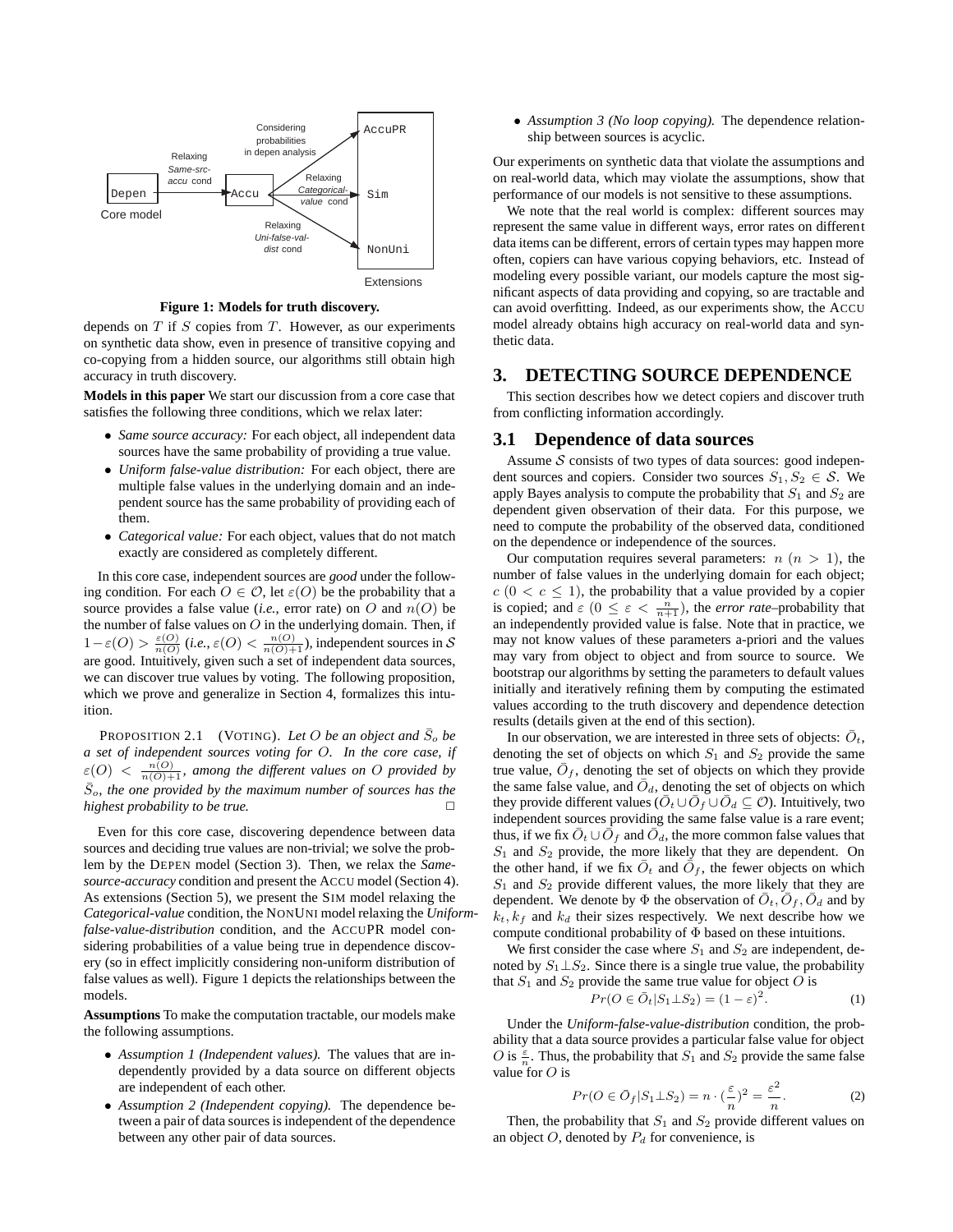

**Figure 1: Models for truth discovery.**

depends on  $T$  if  $S$  copies from  $T$ . However, as our experiments on synthetic data show, even in presence of transitive copying and co-copying from a hidden source, our algorithms still obtain high accuracy in truth discovery.

**Models in this paper** We start our discussion from a core case that satisfies the following three conditions, which we relax later:

- *Same source accuracy:* For each object, all independent data sources have the same probability of providing a true value.
- *Uniform false-value distribution:* For each object, there are multiple false values in the underlying domain and an independent source has the same probability of providing each of them.
- *Categorical value:* For each object, values that do not match exactly are considered as completely different.

In this core case, independent sources are *good* under the following condition. For each  $O \in \mathcal{O}$ , let  $\varepsilon(O)$  be the probability that a source provides a false value (*i.e.*, error rate) on  $O$  and  $n(O)$  be the number of false values on  $O$  in the underlying domain. Then, if  $1-\varepsilon(0) > \frac{\varepsilon(0)}{n(0)}$  (*i.e.*,  $\varepsilon(0) < \frac{n(0)}{n(0)+1}$ ), independent sources in S are good. Intuitively, given such a set of independent data sources, we can discover true values by voting. The following proposition, which we prove and generalize in Section 4, formalizes this intuition.

PROPOSITION 2.1 (VOTING). *Let O be an object and*  $S_o$  *be a set of independent sources voting for* O*. In the core case, if*  $\varepsilon(O) \, < \, \frac{n(O)}{n(O)+1}$ , among the different values on O provided by  $\bar{S}_o$ , the one provided by the maximum number of sources has the *highest probability to be true.* 

Even for this core case, discovering dependence between data sources and deciding true values are non-trivial; we solve the problem by the DEPEN model (Section 3). Then, we relax the *Samesource-accuracy* condition and present the ACCU model (Section 4). As extensions (Section 5), we present the SIM model relaxing the *Categorical-value* condition, the NONUNI model relaxing the *Uniformfalse-value-distribution* condition, and the ACCUPR model considering probabilities of a value being true in dependence discovery (so in effect implicitly considering non-uniform distribution of false values as well). Figure 1 depicts the relationships between the models.

**Assumptions** To make the computation tractable, our models make the following assumptions.

- *Assumption 1 (Independent values).* The values that are independently provided by a data source on different objects are independent of each other.
- *Assumption 2 (Independent copying).* The dependence between a pair of data sources is independent of the dependence between any other pair of data sources.

• *Assumption 3 (No loop copying).* The dependence relationship between sources is acyclic.

Our experiments on synthetic data that violate the assumptions and on real-world data, which may violate the assumptions, show that performance of our models is not sensitive to these assumptions.

We note that the real world is complex: different sources may represent the same value in different ways, error rates on different data items can be different, errors of certain types may happen more often, copiers can have various copying behaviors, etc. Instead of modeling every possible variant, our models capture the most significant aspects of data providing and copying, so are tractable and can avoid overfitting. Indeed, as our experiments show, the ACCU model already obtains high accuracy on real-world data and synthetic data.

### **3. DETECTING SOURCE DEPENDENCE**

This section describes how we detect copiers and discover truth from conflicting information accordingly.

### **3.1 Dependence of data sources**

Assume  $S$  consists of two types of data sources: good independent sources and copiers. Consider two sources  $S_1, S_2 \in \mathcal{S}$ . We apply Bayes analysis to compute the probability that  $S_1$  and  $S_2$  are dependent given observation of their data. For this purpose, we need to compute the probability of the observed data, conditioned on the dependence or independence of the sources.

Our computation requires several parameters:  $n (n > 1)$ , the number of false values in the underlying domain for each object;  $c$  ( $0 < c \leq 1$ ), the probability that a value provided by a copier is copied; and  $\varepsilon$  ( $0 \le \varepsilon < \frac{n}{n+1}$ ), the *error rate*–probability that an independently provided value is false. Note that in practice, we may not know values of these parameters a-priori and the values may vary from object to object and from source to source. We bootstrap our algorithms by setting the parameters to default values initially and iteratively refining them by computing the estimated values according to the truth discovery and dependence detection results (details given at the end of this section).

In our observation, we are interested in three sets of objects:  $O_t$ , denoting the set of objects on which  $S_1$  and  $S_2$  provide the same true value,  $O_f$ , denoting the set of objects on which they provide the same false value, and  $O_d$ , denoting the set of objects on which they provide different values ( $\overline{O}_t \cup \overline{O}_f \cup \overline{O}_d \subseteq \mathcal{O}$ ). Intuitively, two independent sources providing the same false value is a rare event; thus, if we fix  $\overline{O}_t \cup \overline{O}_f$  and  $\overline{O}_d$ , the more common false values that  $S_1$  and  $S_2$  provide, the more likely that they are dependent. On the other hand, if we fix  $\overline{O}_t$  and  $\overline{O}_f$ , the fewer objects on which  $S_1$  and  $S_2$  provide different values, the more likely that they are dependent. We denote by  $\Phi$  the observation of  $O_t$ ,  $O_f$ ,  $O_d$  and by  $k_t$ ,  $k_f$  and  $k_d$  their sizes respectively. We next describe how we compute conditional probability of Φ based on these intuitions.

We first consider the case where  $S_1$  and  $S_2$  are independent, denoted by  $S_1 \perp S_2$ . Since there is a single true value, the probability that  $S_1$  and  $S_2$  provide the same true value for object O is

$$
Pr(O \in \bar{O}_t | S_1 \perp S_2) = (1 - \varepsilon)^2.
$$
 (1)

Under the *Uniform-false-value-distribution* condition, the probability that a data source provides a particular false value for object *O* is  $\frac{\varepsilon}{n}$ . Thus, the probability that  $S_1$  and  $S_2$  provide the same false value for  $O$  is

$$
Pr(O \in \bar{O}_f | S_1 \perp S_2) = n \cdot \left(\frac{\varepsilon}{n}\right)^2 = \frac{\varepsilon^2}{n}.
$$
 (2)

Then, the probability that  $S_1$  and  $S_2$  provide different values on an object  $O$ , denoted by  $P_d$  for convenience, is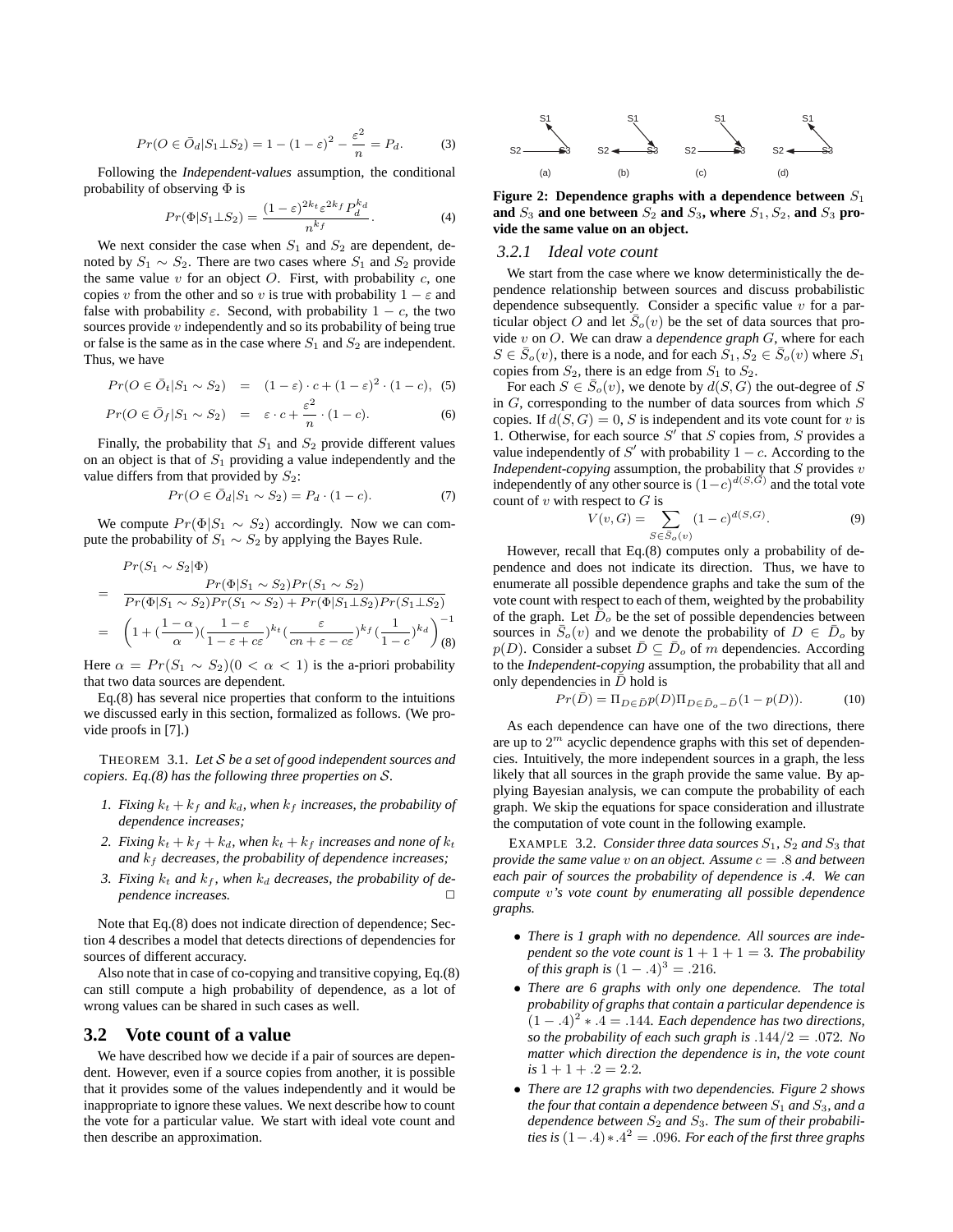$$
Pr(O \in \bar{O}_d | S_1 \perp S_2) = 1 - (1 - \varepsilon)^2 - \frac{\varepsilon^2}{n} = P_d.
$$
 (3)

Following the *Independent-values* assumption, the conditional probability of observing  $\Phi$  is

$$
Pr(\Phi|S_1 \perp S_2) = \frac{(1-\varepsilon)^{2k_t} \varepsilon^{2k_f} P_d^{k_d}}{n^{k_f}}.
$$
 (4)

We next consider the case when  $S_1$  and  $S_2$  are dependent, denoted by  $S_1 \sim S_2$ . There are two cases where  $S_1$  and  $S_2$  provide the same value  $v$  for an object  $O$ . First, with probability  $c$ , one copies v from the other and so v is true with probability  $1 - \varepsilon$  and false with probability  $\varepsilon$ . Second, with probability  $1 - c$ , the two sources provide  $v$  independently and so its probability of being true or false is the same as in the case where  $S_1$  and  $S_2$  are independent. Thus, we have

$$
Pr(O \in \bar{O}_t | S_1 \sim S_2) = (1 - \varepsilon) \cdot c + (1 - \varepsilon)^2 \cdot (1 - c), (5)
$$

$$
Pr(O \in \bar{O}_f | S_1 \sim S_2) = \varepsilon \cdot c + \frac{\varepsilon^2}{n} \cdot (1 - c). \tag{6}
$$

Finally, the probability that  $S_1$  and  $S_2$  provide different values on an object is that of  $S_1$  providing a value independently and the value differs from that provided by  $S_2$ :

$$
Pr(O \in \bar{O}_d | S_1 \sim S_2) = P_d \cdot (1 - c). \tag{7}
$$

We compute  $Pr(\Phi | S_1 \sim S_2)$  accordingly. Now we can compute the probability of  $S_1 \sim S_2$  by applying the Bayes Rule.

$$
Pr(S_1 \sim S_2 | \Phi)
$$
  
= 
$$
Pr(\Phi | S_1 \sim S_2) Pr(S_1 \sim S_2)
$$
  

$$
Pr(\Phi | S_1 \sim S_2) Pr(S_1 \sim S_2) + Pr(\Phi | S_1 \perp S_2) Pr(S_1 \perp S_2)
$$
  
= 
$$
\left(1 + \left(\frac{1 - \alpha}{\alpha}\right)\left(\frac{1 - \varepsilon}{1 - \varepsilon + c\varepsilon}\right)^{k_t}\left(\frac{\varepsilon}{cn + \varepsilon - c\varepsilon}\right)^{k_f}\left(\frac{1}{1 - c}\right)^{k_d}\right) \frac{1}{(8)}
$$

Here  $\alpha = Pr(S_1 \sim S_2)(0 < \alpha < 1)$  is the a-priori probability that two data sources are dependent.

Eq.(8) has several nice properties that conform to the intuitions we discussed early in this section, formalized as follows. (We provide proofs in [7].)

THEOREM 3.1. *Let* S *be a set of good independent sources and copiers. Eq.(8) has the following three properties on* S*.*

- *1. Fixing*  $k_t + k_f$  *and*  $k_d$ *, when*  $k_f$  *increases, the probability of dependence increases;*
- *2. Fixing*  $k_t + k_f + k_d$ , when  $k_t + k_f$  *increases and none of*  $k_t$ and  $k_f$  decreases, the probability of dependence increases;
- 3. Fixing  $k_t$  and  $k_f$ , when  $k_d$  decreases, the probability of de*pendence increases.* □

Note that Eq.(8) does not indicate direction of dependence; Section 4 describes a model that detects directions of dependencies for sources of different accuracy.

Also note that in case of co-copying and transitive copying, Eq.(8) can still compute a high probability of dependence, as a lot of wrong values can be shared in such cases as well.

### **3.2 Vote count of a value**

We have described how we decide if a pair of sources are dependent. However, even if a source copies from another, it is possible that it provides some of the values independently and it would be inappropriate to ignore these values. We next describe how to count the vote for a particular value. We start with ideal vote count and then describe an approximation.



**Figure 2: Dependence graphs with a dependence between**  $S_1$ and  $S_3$  and one between  $S_2$  and  $S_3$ , where  $S_1$ ,  $S_2$ , and  $S_3$  pro**vide the same value on an object.**

### *3.2.1 Ideal vote count*

We start from the case where we know deterministically the dependence relationship between sources and discuss probabilistic dependence subsequently. Consider a specific value  $v$  for a particular object O and let  $\bar{S}_o(v)$  be the set of data sources that provide v on O. We can draw a *dependence graph* G, where for each  $S \in \overline{S}_o(v)$ , there is a node, and for each  $S_1, S_2 \in \overline{S}_o(v)$  where  $S_1$ copies from  $S_2$ , there is an edge from  $S_1$  to  $S_2$ .

For each  $S \in \overline{S}_o(v)$ , we denote by  $d(S, G)$  the out-degree of S in  $G$ , corresponding to the number of data sources from which  $S$ copies. If  $d(S, G) = 0$ , S is independent and its vote count for v is 1. Otherwise, for each source  $S'$  that  $S$  copies from,  $S$  provides a value independently of  $S'$  with probability  $1 - c$ . According to the *Independent-copying* assumption, the probability that S provides v independently of any other source is  $(1-c)^{d(S,G)}$  and the total vote count of  $v$  with respect to  $G$  is

$$
V(v, G) = \sum_{S \in \bar{S}_o(v)} (1 - c)^{d(S, G)}.
$$
 (9)

However, recall that Eq.(8) computes only a probability of dependence and does not indicate its direction. Thus, we have to enumerate all possible dependence graphs and take the sum of the vote count with respect to each of them, weighted by the probability of the graph. Let  $\bar{D}_o$  be the set of possible dependencies between sources in  $\bar{S}_o(v)$  and we denote the probability of  $D \in \bar{D}_o$  by  $p(D)$ . Consider a subset  $\overline{D} \subseteq \overline{D}_o$  of m dependencies. According to the *Independent-copying* assumption, the probability that all and only dependencies in  $\bar{D}$  hold is

$$
Pr(\bar{D}) = \Pi_{D \in \bar{D}} p(D) \Pi_{D \in \bar{D}_o - \bar{D}} (1 - p(D)).
$$
 (10)

As each dependence can have one of the two directions, there are up to  $2^m$  acyclic dependence graphs with this set of dependencies. Intuitively, the more independent sources in a graph, the less likely that all sources in the graph provide the same value. By applying Bayesian analysis, we can compute the probability of each graph. We skip the equations for space consideration and illustrate the computation of vote count in the following example.

EXAMPLE 3.2. *Consider three data sources*  $S_1$ ,  $S_2$  *and*  $S_3$  *that provide the same value* v *on an object. Assume* c = .8 *and between each pair of sources the probability of dependence is .4. We can compute* v*'s vote count by enumerating all possible dependence graphs.*

- *There is 1 graph with no dependence. All sources are independent so the vote count is*  $1 + 1 + 1 = 3$ *. The probability of this graph is*  $(1 - .4)^3 = .216$ .
- *There are 6 graphs with only one dependence. The total probability of graphs that contain a particular dependence is*  $(1 - .4)^2 * .4 = .144$ . Each dependence has two directions, *so the probability of each such graph is* .144/2 = .072*. No matter which direction the dependence is in, the vote count*  $is$  1 + 1 + .2 = 2.2*.*
- *There are 12 graphs with two dependencies. Figure 2 shows the four that contain a dependence between*  $S_1$  *and*  $S_3$ *, and a* dependence between  $S_2$  and  $S_3$ . The sum of their probabili*ties is* (1−.4)∗.4 <sup>2</sup> = .096*. For each of the first three graphs*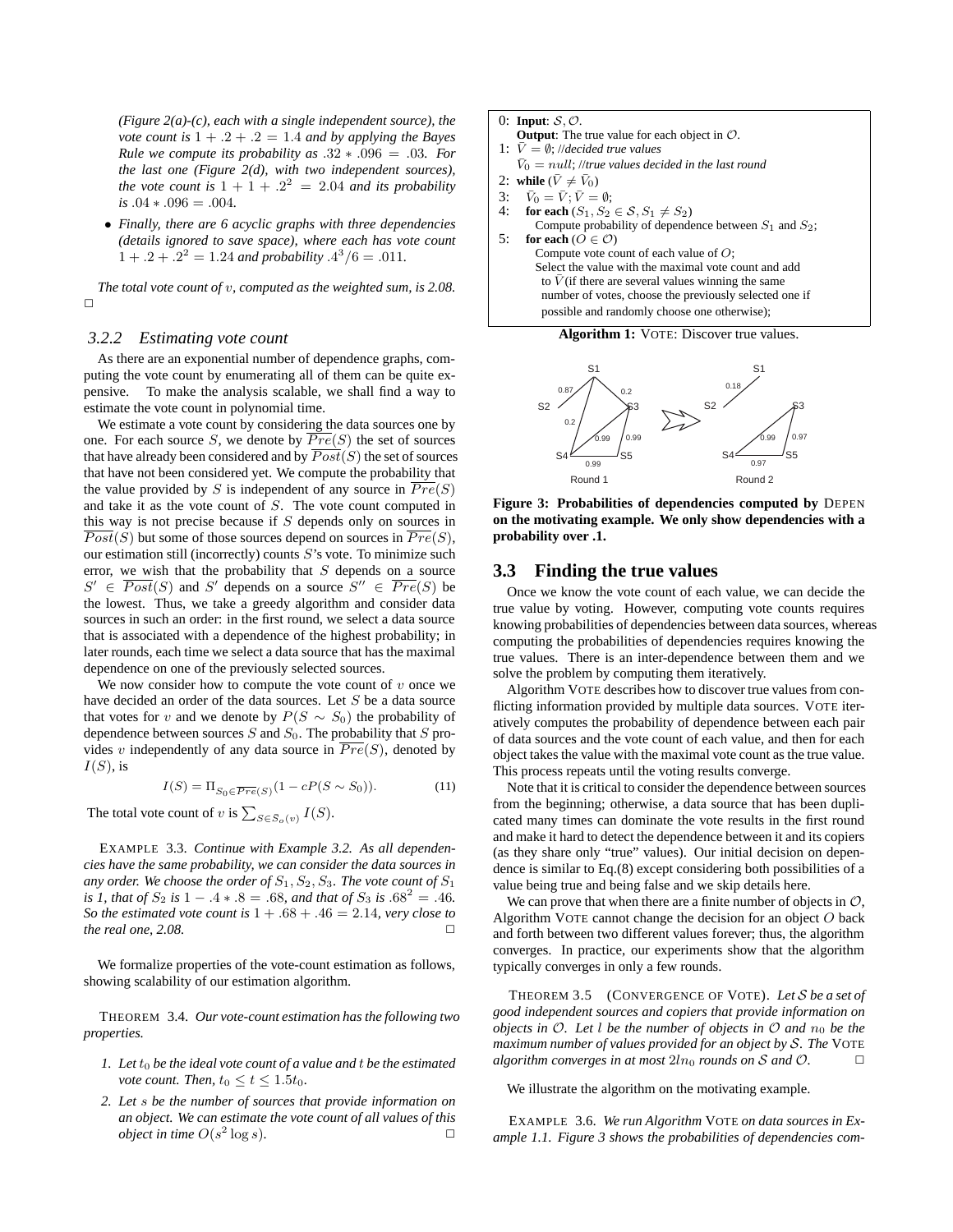*(Figure 2(a)-(c), each with a single independent source), the vote count is*  $1 + .2 + .2 = 1.4$  *and by applying the Bayes Rule we compute its probability as* .32 ∗ .096 = .03*. For the last one (Figure 2(d), with two independent sources), the vote count is*  $1 + 1 + .2^2 = 2.04$  *and its probability*  $i\in (0.04 \times 0.096) = 0.004$ .

• *Finally, there are 6 acyclic graphs with three dependencies (details ignored to save space), where each has vote count*  $1 + .2 + .2^2 = 1.24$  *and probability*  $.4^3/6 = .011$ .

*The total vote count of* v*, computed as the weighted sum, is 2.08.*  $\Box$ 

#### *3.2.2 Estimating vote count*

As there are an exponential number of dependence graphs, computing the vote count by enumerating all of them can be quite expensive. To make the analysis scalable, we shall find a way to estimate the vote count in polynomial time.

We estimate a vote count by considering the data sources one by one. For each source S, we denote by  $\overline{Pre}(S)$  the set of sources that have already been considered and by  $\overline{Post}(S)$  the set of sources that have not been considered yet. We compute the probability that the value provided by S is independent of any source in  $\overline{Pre}(S)$ and take it as the vote count of S. The vote count computed in this way is not precise because if  $S$  depends only on sources in  $\overline{Post}(S)$  but some of those sources depend on sources in  $\overline{Pre}(S)$ , our estimation still (incorrectly) counts  $S$ 's vote. To minimize such error, we wish that the probability that  $S$  depends on a source  $S' \in \overline{Post}(S)$  and S' depends on a source  $S'' \in \overline{Pre}(S)$  be the lowest. Thus, we take a greedy algorithm and consider data sources in such an order: in the first round, we select a data source that is associated with a dependence of the highest probability; in later rounds, each time we select a data source that has the maximal dependence on one of the previously selected sources.

We now consider how to compute the vote count of  $v$  once we have decided an order of the data sources. Let  $S$  be a data source that votes for v and we denote by  $P(S \sim S_0)$  the probability of dependence between sources  $S$  and  $S_0$ . The probability that  $S$  provides v independently of any data source in  $Pre(S)$ , denoted by  $I(S)$ , is

$$
I(S) = \Pi_{S_0 \in \overline{Pre}(S)} (1 - cP(S \sim S_0)). \tag{11}
$$

The total vote count of v is  $\sum_{S \in \bar{S}_{o}(v)} I(S)$ .

EXAMPLE 3.3. *Continue with Example 3.2. As all dependencies have the same probability, we can consider the data sources in* any order. We choose the order of  $S_1, S_2, S_3$ . The vote count of  $S_1$ *is 1, that of*  $S_2$  *is*  $1 - .4 * .8 = .68$ *, and that of*  $S_3$  *is*  $.68^2 = .46$ *. So the estimated vote count is*  $1 + .68 + .46 = 2.14$ *, very close to*  $\Box$  *the real one, 2.08.*  $\Box$ 

We formalize properties of the vote-count estimation as follows, showing scalability of our estimation algorithm.

THEOREM 3.4. *Our vote-count estimation has the following two properties.*

- *1. Let*  $t_0$  *be the ideal vote count of a value and t be the estimated vote count. Then,*  $t_0 \le t \le 1.5t_0$ *.*
- *2. Let* s *be the number of sources that provide information on an object. We can estimate the vote count of all values of this object in time*  $O(s^2 \log s)$ .

#### 0: **Input**: S, O.

- **Output**: The true value for each object in O. 1:  $\bar{V} = \emptyset$ ; //*decided true values*
- $\bar{V}_0 = null$ ; //*true values decided in the last round*

2: **while**  $(\bar{V} \neq \bar{V}_0)$ 

- 3:  $\bar{V}_0 = \bar{V}; \bar{V} = \emptyset;$ <br>4: for each  $(S_1, S_2)$
- for each  $(S_1, S_2 \in \mathcal{S}, S_1 \neq S_2)$
- Compute probability of dependence between  $S_1$  and  $S_2$ ; 5: **for each** ( $\overrightarrow{O} \in \mathcal{O}$ ) Compute vote count of each value of O; Select the value with the maximal vote count and add



**Algorithm 1:** VOTE: Discover true values.



**Figure 3: Probabilities of dependencies computed by** DEPEN **on the motivating example. We only show dependencies with a probability over .1.**

### **3.3 Finding the true values**

Once we know the vote count of each value, we can decide the true value by voting. However, computing vote counts requires knowing probabilities of dependencies between data sources, whereas computing the probabilities of dependencies requires knowing the true values. There is an inter-dependence between them and we solve the problem by computing them iteratively.

Algorithm VOTE describes how to discover true values from conflicting information provided by multiple data sources. VOTE iteratively computes the probability of dependence between each pair of data sources and the vote count of each value, and then for each object takes the value with the maximal vote count as the true value. This process repeats until the voting results converge.

Note that it is critical to consider the dependence between sources from the beginning; otherwise, a data source that has been duplicated many times can dominate the vote results in the first round and make it hard to detect the dependence between it and its copiers (as they share only "true" values). Our initial decision on dependence is similar to Eq.(8) except considering both possibilities of a value being true and being false and we skip details here.

We can prove that when there are a finite number of objects in  $\mathcal{O}$ , Algorithm VOTE cannot change the decision for an object  $O$  back and forth between two different values forever; thus, the algorithm converges. In practice, our experiments show that the algorithm typically converges in only a few rounds.

THEOREM 3.5 (CONVERGENCE OF VOTE). *Let* S *be a set of good independent sources and copiers that provide information on objects in*  $\mathcal{O}$ *. Let l be the number of objects in*  $\mathcal{O}$  *and*  $n_0$  *be the maximum number of values provided for an object by* S*. The* VOTE *algorithm converges in at most*  $2ln_0$  *rounds on* S *and*  $\mathcal{O}$ .  $\Box$ 

We illustrate the algorithm on the motivating example.

EXAMPLE 3.6. *We run Algorithm* VOTE *on data sources in Example 1.1. Figure 3 shows the probabilities of dependencies com-*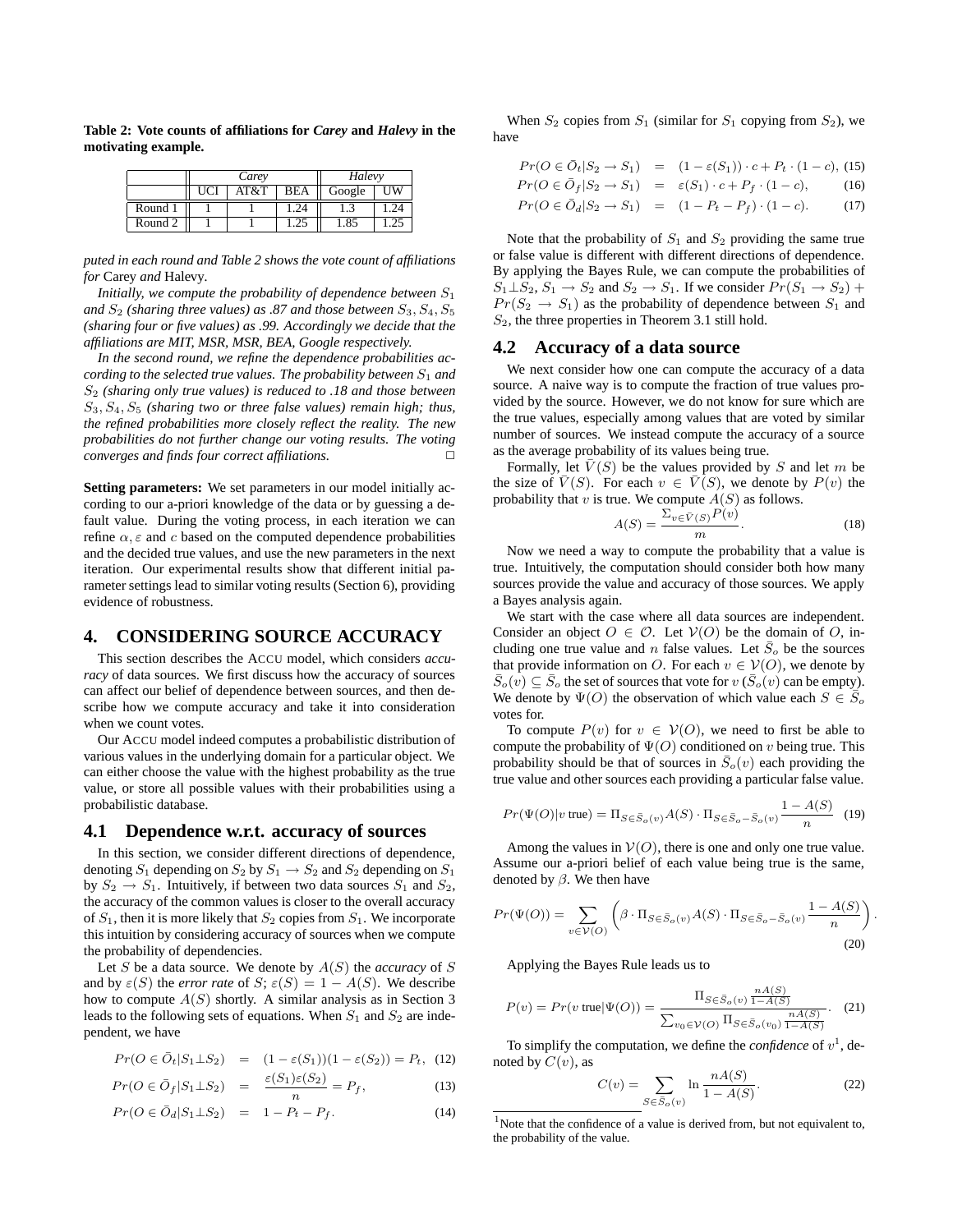|         | Carey |                    |     | Halevy |     |
|---------|-------|--------------------|-----|--------|-----|
|         | UCI   | AT&T<br><b>BEA</b> |     |        | UW  |
| Round 1 |       |                    | -24 |        | .24 |
| Round 2 |       |                    |     | . 85   |     |

**Table 2: Vote counts of affiliations for** *Carey* **and** *Halevy* **in the motivating example.**

*puted in each round and Table 2 shows the vote count of affiliations for* Carey *and* Halevy*.*

*Initially, we compute the probability of dependence between*  $S_1$ and  $S_2$  (sharing three values) as .87 and those between  $S_3, S_4, S_5$ *(sharing four or five values) as .99. Accordingly we decide that the affiliations are MIT, MSR, MSR, BEA, Google respectively.*

*In the second round, we refine the dependence probabilities according to the selected true values. The probability between*  $S_1$  *and* S<sup>2</sup> *(sharing only true values) is reduced to .18 and those between* S3, S4, S<sup>5</sup> *(sharing two or three false values) remain high; thus, the refined probabilities more closely reflect the reality. The new probabilities do not further change our voting results. The voting converges and finds four correct affiliations.* ✷

**Setting parameters:** We set parameters in our model initially according to our a-priori knowledge of the data or by guessing a default value. During the voting process, in each iteration we can refine  $\alpha$ ,  $\varepsilon$  and c based on the computed dependence probabilities and the decided true values, and use the new parameters in the next iteration. Our experimental results show that different initial parameter settings lead to similar voting results (Section 6), providing evidence of robustness.

### **4. CONSIDERING SOURCE ACCURACY**

This section describes the ACCU model, which considers *accuracy* of data sources. We first discuss how the accuracy of sources can affect our belief of dependence between sources, and then describe how we compute accuracy and take it into consideration when we count votes.

Our ACCU model indeed computes a probabilistic distribution of various values in the underlying domain for a particular object. We can either choose the value with the highest probability as the true value, or store all possible values with their probabilities using a probabilistic database.

### **4.1 Dependence w.r.t. accuracy of sources**

In this section, we consider different directions of dependence, denoting  $S_1$  depending on  $S_2$  by  $S_1 \rightarrow S_2$  and  $S_2$  depending on  $S_1$ by  $S_2 \rightarrow S_1$ . Intuitively, if between two data sources  $S_1$  and  $S_2$ , the accuracy of the common values is closer to the overall accuracy of  $S_1$ , then it is more likely that  $S_2$  copies from  $S_1$ . We incorporate this intuition by considering accuracy of sources when we compute the probability of dependencies.

Let  $S$  be a data source. We denote by  $A(S)$  the *accuracy* of  $S$ and by  $\varepsilon(S)$  the *error rate* of S;  $\varepsilon(S) = 1 - A(S)$ . We describe how to compute  $A(S)$  shortly. A similar analysis as in Section 3 leads to the following sets of equations. When  $S_1$  and  $S_2$  are independent, we have

$$
Pr(O \in \bar{O}_t | S_1 \perp S_2) = (1 - \varepsilon(S_1))(1 - \varepsilon(S_2)) = P_t, (12)
$$

$$
Pr(O \in \bar{O}_f | S_1 \perp S_2) = \frac{\varepsilon(S_1)\varepsilon(S_2)}{n} = P_f,
$$
\n(13)

$$
Pr(O \in \bar{O}_d | S_1 \perp S_2) = 1 - P_t - P_f.
$$
 (14)

When  $S_2$  copies from  $S_1$  (similar for  $S_1$  copying from  $S_2$ ), we have

$$
Pr(O \in \bar{O}_t | S_2 \to S_1) = (1 - \varepsilon(S_1)) \cdot c + P_t \cdot (1 - c), (15)
$$
  
\n
$$
Pr(O \in \bar{O}_f | S_2 \to S_1) = \varepsilon(S_1) \cdot c + P_f \cdot (1 - c), (16)
$$
  
\n
$$
Pr(O \in \bar{O}_d | S_2 \to S_1) = (1 - P_t - P_f) \cdot (1 - c).
$$
 (17)

Note that the probability of  $S_1$  and  $S_2$  providing the same true or false value is different with different directions of dependence. By applying the Bayes Rule, we can compute the probabilities of  $S_1 \perp S_2$ ,  $S_1 \rightarrow S_2$  and  $S_2 \rightarrow S_1$ . If we consider  $Pr(S_1 \rightarrow S_2)$  +  $Pr(S_2 \rightarrow S_1)$  as the probability of dependence between  $S_1$  and  $S_2$ , the three properties in Theorem 3.1 still hold.

### **4.2 Accuracy of a data source**

We next consider how one can compute the accuracy of a data source. A naive way is to compute the fraction of true values provided by the source. However, we do not know for sure which are the true values, especially among values that are voted by similar number of sources. We instead compute the accuracy of a source as the average probability of its values being true.

Formally, let  $\overline{V}(S)$  be the values provided by S and let m be the size of  $\overline{V}(S)$ . For each  $v \in \overline{V}(S)$ , we denote by  $P(v)$  the probability that v is true. We compute  $A(S)$  as follows.

$$
A(S) = \frac{\sum_{v \in \bar{V}(S)} P(v)}{m}.
$$
\n(18)

Now we need a way to compute the probability that a value is true. Intuitively, the computation should consider both how many sources provide the value and accuracy of those sources. We apply a Bayes analysis again.

We start with the case where all data sources are independent. Consider an object  $O \in \mathcal{O}$ . Let  $V(O)$  be the domain of O, including one true value and n false values. Let  $\bar{S}_o$  be the sources that provide information on O. For each  $v \in V(O)$ , we denote by  $\bar{S}_o(v) \subseteq \bar{S}_o$  the set of sources that vote for  $v(\bar{S}_o(v))$  can be empty). We denote by  $\Psi(O)$  the observation of which value each  $S \in \overline{S}_o$ votes for.

To compute  $P(v)$  for  $v \in V(O)$ , we need to first be able to compute the probability of  $\Psi(O)$  conditioned on v being true. This probability should be that of sources in  $\overline{S}_o(v)$  each providing the true value and other sources each providing a particular false value.

$$
Pr(\Psi(O)|v \text{ true}) = \Pi_{S \in \bar{S}_o(v)} A(S) \cdot \Pi_{S \in \bar{S}_o - \bar{S}_o(v)} \frac{1 - A(S)}{n} \tag{19}
$$

Among the values in  $V(O)$ , there is one and only one true value. Assume our a-priori belief of each value being true is the same, denoted by  $\beta$ . We then have

$$
Pr(\Psi(O)) = \sum_{v \in V(O)} \left( \beta \cdot \Pi_{S \in \bar{S}_o(v)} A(S) \cdot \Pi_{S \in \bar{S}_o - \bar{S}_o(v)} \frac{1 - A(S)}{n} \right)
$$
(20)

Applying the Bayes Rule leads us to

$$
P(v) = Pr(v \text{ true} | \Psi(O)) = \frac{\Pi_{S \in \bar{S}_o(v)} \frac{nA(S)}{1 - A(S)}}{\sum_{v_0 \in \mathcal{V}(O)} \Pi_{S \in \bar{S}_o(v_0)} \frac{nA(S)}{1 - A(S)}}.
$$
 (21)

To simplify the computation, we define the *confidence* of  $v<sup>1</sup>$ , denoted by  $C(v)$ , as

$$
C(v) = \sum_{S \in \bar{S}_o(v)} \ln \frac{nA(S)}{1 - A(S)}.
$$
 (22)

.

 $1$ Note that the confidence of a value is derived from, but not equivalent to, the probability of the value.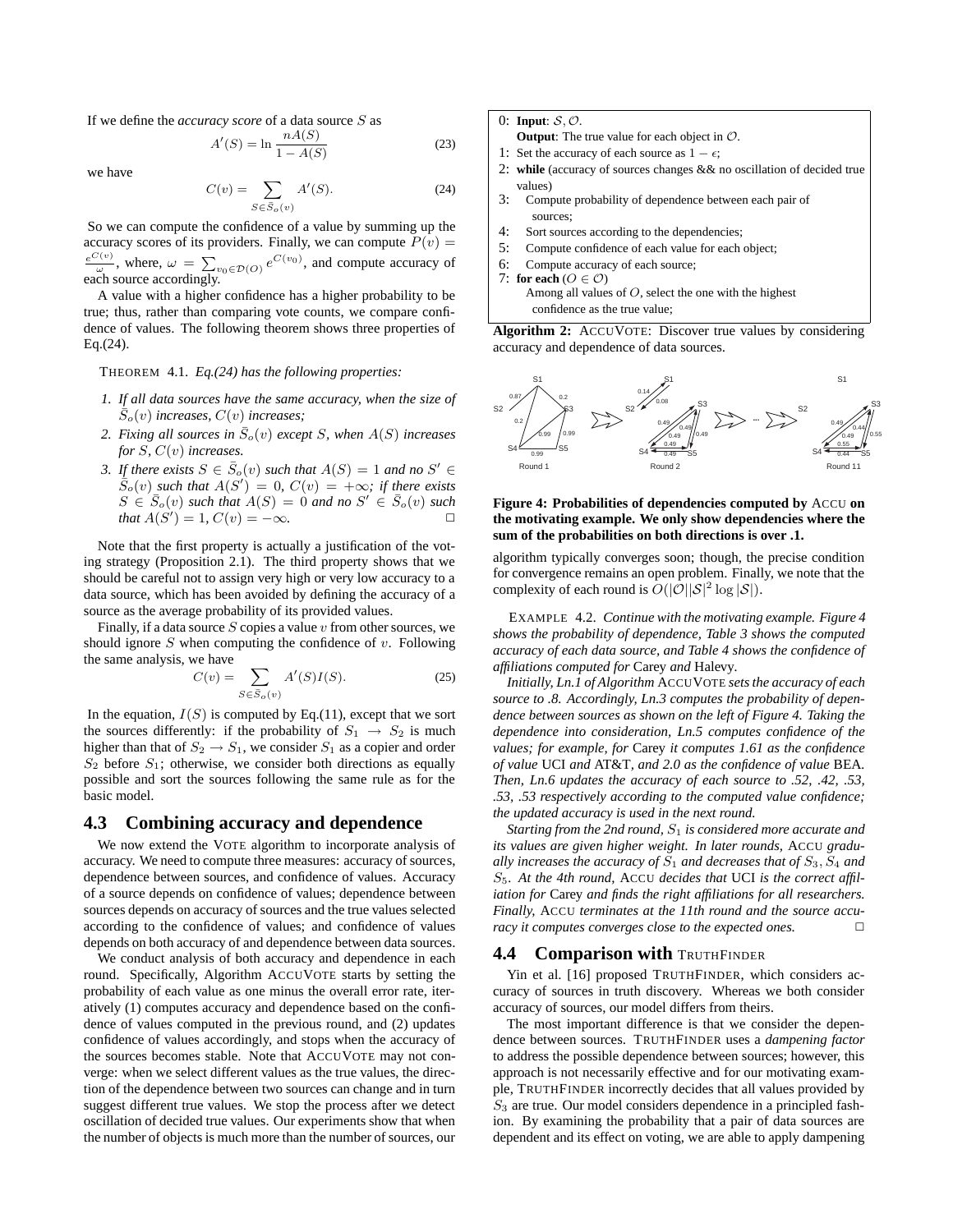If we define the *accuracy score* of a data source S as

$$
A'(S) = \ln \frac{nA(S)}{1 - A(S)}
$$
 (23)

we have

$$
C(v) = \sum_{S \in \bar{S}_o(v)} A'(S). \tag{24}
$$

So we can compute the confidence of a value by summing up the accuracy scores of its providers. Finally, we can compute  $P(v)$  =  $e^{C(v)}$  $\frac{\partial u^{(v)}}{\partial u}$ , where,  $\omega = \sum_{v_0 \in \mathcal{D}(O)} e^{C(v_0)}$ , and compute accuracy of each source accordingly.

A value with a higher confidence has a higher probability to be true; thus, rather than comparing vote counts, we compare confidence of values. The following theorem shows three properties of Eq.(24).

THEOREM 4.1. *Eq.(24) has the following properties:*

- *1. If all data sources have the same accuracy, when the size of*  $\overline{S}_{o}(v)$  *increases,*  $C(v)$  *increases;*
- 2. Fixing all sources in  $\overline{S}_o(v)$  except *S*, when  $A(S)$  increases *for* S*,* C(v) *increases.*
- 3. If there exists  $S \in \overline{S}_o(v)$  such that  $A(S) = 1$  and no  $S' \in$  $\overline{S}_{o}(v)$  such that  $A(S') = 0$ ,  $C(v) = +\infty$ ; if there exists  $S \in \overline{S}_o(v)$  *such that*  $A(S) = 0$  *and no*  $S' \in \overline{S}_o(v)$  *such that*  $A(S') = 1$ ,  $C(v) = -\infty$ .

Note that the first property is actually a justification of the voting strategy (Proposition 2.1). The third property shows that we should be careful not to assign very high or very low accuracy to a data source, which has been avoided by defining the accuracy of a source as the average probability of its provided values.

Finally, if a data source  $S$  copies a value  $v$  from other sources, we should ignore  $S$  when computing the confidence of  $v$ . Following the same analysis, we have

$$
C(v) = \sum_{S \in \bar{S}_o(v)} A'(S)I(S).
$$
 (25)

In the equation,  $I(S)$  is computed by Eq.(11), except that we sort the sources differently: if the probability of  $S_1 \rightarrow S_2$  is much higher than that of  $S_2 \rightarrow S_1$ , we consider  $S_1$  as a copier and order  $S_2$  before  $S_1$ ; otherwise, we consider both directions as equally possible and sort the sources following the same rule as for the basic model.

### **4.3 Combining accuracy and dependence**

We now extend the VOTE algorithm to incorporate analysis of accuracy. We need to compute three measures: accuracy of sources, dependence between sources, and confidence of values. Accuracy of a source depends on confidence of values; dependence between sources depends on accuracy of sources and the true values selected according to the confidence of values; and confidence of values depends on both accuracy of and dependence between data sources.

We conduct analysis of both accuracy and dependence in each round. Specifically, Algorithm ACCUVOTE starts by setting the probability of each value as one minus the overall error rate, iteratively (1) computes accuracy and dependence based on the confidence of values computed in the previous round, and (2) updates confidence of values accordingly, and stops when the accuracy of the sources becomes stable. Note that ACCUVOTE may not converge: when we select different values as the true values, the direction of the dependence between two sources can change and in turn suggest different true values. We stop the process after we detect oscillation of decided true values. Our experiments show that when the number of objects is much more than the number of sources, our

#### 0: **Input**: S, O.

- **Output**: The true value for each object in O.
- 1: Set the accuracy of each source as  $1 \epsilon$ ;
- 2: **while** (accuracy of sources changes && no oscillation of decided true values)
- 3: Compute probability of dependence between each pair of sources;
- 4: Sort sources according to the dependencies;
- 5: Compute confidence of each value for each object;
- 6: Compute accuracy of each source; 7: **for each** ( $O \in \mathcal{O}$ )

Among all values of O, select the one with the highest confidence as the true value;

**Algorithm 2:** ACCUVOTE: Discover true values by considering accuracy and dependence of data sources.



### **Figure 4: Probabilities of dependencies computed by** ACCU **on the motivating example. We only show dependencies where the sum of the probabilities on both directions is over .1.**

algorithm typically converges soon; though, the precise condition for convergence remains an open problem. Finally, we note that the complexity of each round is  $O(|\mathcal{O}||\mathcal{S}|^2 \log |\mathcal{S}|)$ .

EXAMPLE 4.2. *Continue with the motivating example. Figure 4 shows the probability of dependence, Table 3 shows the computed accuracy of each data source, and Table 4 shows the confidence of affiliations computed for* Carey *and* Halevy*.*

*Initially, Ln.1 of Algorithm* ACCUVOTE *sets the accuracy of each source to .8. Accordingly, Ln.3 computes the probability of dependence between sources as shown on the left of Figure 4. Taking the dependence into consideration, Ln.5 computes confidence of the values; for example, for* Carey *it computes 1.61 as the confidence of value* UCI *and* AT&T*, and 2.0 as the confidence of value* BEA*. Then, Ln.6 updates the accuracy of each source to .52, .42, .53, .53, .53 respectively according to the computed value confidence; the updated accuracy is used in the next round.*

*Starting from the 2nd round,*  $S_1$  *is considered more accurate and its values are given higher weight. In later rounds,* ACCU *gradually increases the accuracy of*  $S_1$  *and decreases that of*  $S_3$ ,  $S_4$  *and* S5*. At the 4th round,* ACCU *decides that* UCI *is the correct affiliation for* Carey *and finds the right affiliations for all researchers. Finally,* ACCU *terminates at the 11th round and the source accuracy it computes converges close to the expected ones.*  $\Box$ 

### **4.4 Comparison with TRUTHFINDER**

Yin et al. [16] proposed TRUTHFINDER, which considers accuracy of sources in truth discovery. Whereas we both consider accuracy of sources, our model differs from theirs.

The most important difference is that we consider the dependence between sources. TRUTHFINDER uses a *dampening factor* to address the possible dependence between sources; however, this approach is not necessarily effective and for our motivating example, TRUTHFINDER incorrectly decides that all values provided by  $S_3$  are true. Our model considers dependence in a principled fashion. By examining the probability that a pair of data sources are dependent and its effect on voting, we are able to apply dampening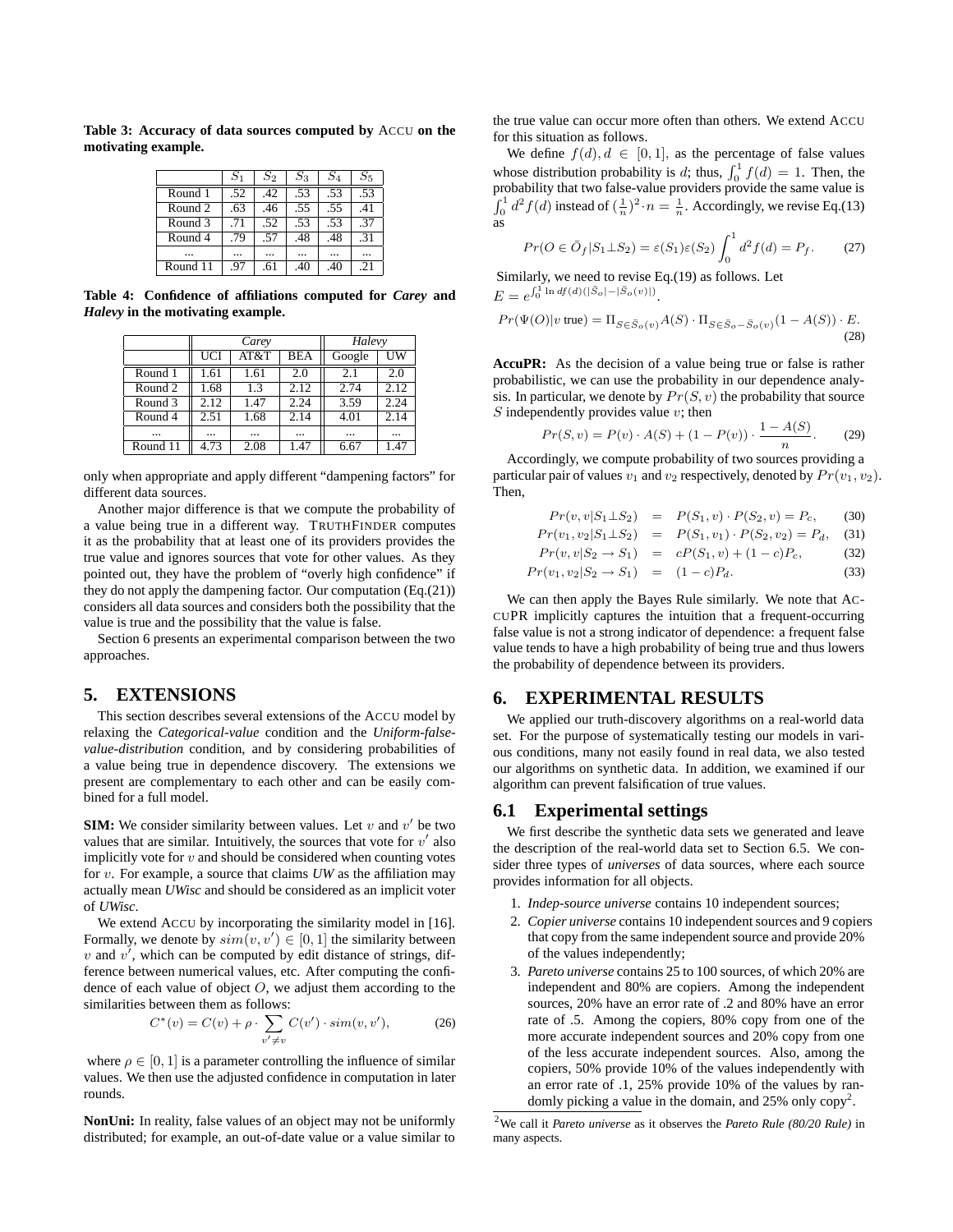**Table 3: Accuracy of data sources computed by** ACCU **on the motivating example.**

|          | $S_1$ | $S_2$ | $S_3$ | S4  | $S_5$    |
|----------|-------|-------|-------|-----|----------|
| Round 1  | .52   | -42   | .53   | .53 | .53      |
| Round 2  | .63   | .46   | .55   | .55 | .41      |
| Round 3  | .71   | .52   | .53   | .53 | .37      |
| Round 4  | .79   | .57   | .48   | .48 | .31      |
|          |       |       |       |     | $\cdots$ |
| Round 11 | .97   | .61   | .40   | .40 | .21      |

**Table 4: Confidence of affiliations computed for** *Carey* **and** *Halevy* **in the motivating example.**

|          | Carey    |          |            | Halevy |          |
|----------|----------|----------|------------|--------|----------|
|          | UCI      | AT&T     | <b>BEA</b> | Google | UW       |
| Round 1  | 1.61     | 1.61     | 2.0        | 2.1    | 2.0      |
| Round 2  | 1.68     | 1.3      | 2.12       | 2.74   | 2.12     |
| Round 3  | 2.12     | 1.47     | 2.24       | 3.59   | 2.24     |
| Round 4  | 2.51     | 1.68     | 2.14       | 4.01   | 2.14     |
| $\cdots$ | $\cdots$ | $\cdots$ | $\cdots$   |        | $\cdots$ |
| Round 11 | 4.73     | 2.08     | 1.47       | 6.67   | 1.47     |

only when appropriate and apply different "dampening factors" for different data sources.

Another major difference is that we compute the probability of a value being true in a different way. TRUTHFINDER computes it as the probability that at least one of its providers provides the true value and ignores sources that vote for other values. As they pointed out, they have the problem of "overly high confidence" if they do not apply the dampening factor. Our computation (Eq.(21)) considers all data sources and considers both the possibility that the value is true and the possibility that the value is false.

Section 6 presents an experimental comparison between the two approaches.

# **5. EXTENSIONS**

This section describes several extensions of the ACCU model by relaxing the *Categorical-value* condition and the *Uniform-falsevalue-distribution* condition, and by considering probabilities of a value being true in dependence discovery. The extensions we present are complementary to each other and can be easily combined for a full model.

**SIM:** We consider similarity between values. Let  $v$  and  $v'$  be two values that are similar. Intuitively, the sources that vote for  $v'$  also implicitly vote for  $v$  and should be considered when counting votes for v. For example, a source that claims *UW* as the affiliation may actually mean *UWisc* and should be considered as an implicit voter of *UWisc*.

We extend ACCU by incorporating the similarity model in [16]. Formally, we denote by  $sim(v, v') \in [0, 1]$  the similarity between  $v$  and  $v'$ , which can be computed by edit distance of strings, difference between numerical values, etc. After computing the confidence of each value of object  $O$ , we adjust them according to the similarities between them as follows:

$$
C^*(v) = C(v) + \rho \cdot \sum_{v' \neq v} C(v') \cdot sim(v, v'), \tag{26}
$$

where  $\rho \in [0, 1]$  is a parameter controlling the influence of similar values. We then use the adjusted confidence in computation in later rounds.

**NonUni:** In reality, false values of an object may not be uniformly distributed; for example, an out-of-date value or a value similar to the true value can occur more often than others. We extend ACCU for this situation as follows.

We define  $f(d), d \in [0, 1]$ , as the percentage of false values whose distribution probability is d; thus,  $\int_0^1 f(d) = 1$ . Then, the probability that two false-value providers provide the same value is  $\int_0^1 d^2 f(d)$  instead of  $(\frac{1}{n})^2 \cdot n = \frac{1}{n}$ . Accordingly, we revise Eq.(13) as

$$
Pr(O \in \bar{O}_f | S_1 \perp S_2) = \varepsilon(S_1)\varepsilon(S_2) \int_0^1 d^2 f(d) = P_f.
$$
 (27)

Similarly, we need to revise Eq.(19) as follows. Let  $E = e^{\int_0^1 \ln df(d)(|\bar{S}_o| - |\bar{S}_o(v)|)}.$ 

$$
Pr(\Psi(O)|v \text{ true}) = \Pi_{S \in \bar{S}_o(v)} A(S) \cdot \Pi_{S \in \bar{S}_o - \bar{S}_o(v)} (1 - A(S)) \cdot E. \tag{28}
$$

**AccuPR:** As the decision of a value being true or false is rather probabilistic, we can use the probability in our dependence analysis. In particular, we denote by  $Pr(S, v)$  the probability that source  $S$  independently provides value  $v$ ; then

$$
Pr(S, v) = P(v) \cdot A(S) + (1 - P(v)) \cdot \frac{1 - A(S)}{n}.
$$
 (29)

Accordingly, we compute probability of two sources providing a particular pair of values  $v_1$  and  $v_2$  respectively, denoted by  $Pr(v_1, v_2)$ . Then,

$$
Pr(v, v|S_1 \perp S_2) = P(S_1, v) \cdot P(S_2, v) = P_c,
$$
 (30)

$$
Pr(v_1, v_2 | S_1 \perp S_2) = P(S_1, v_1) \cdot P(S_2, v_2) = P_d, \quad (31)
$$

$$
Pr(v, v|S_2 \to S_1) = cP(S_1, v) + (1 - c)P_c,
$$
 (32)

$$
Pr(v_1, v_2 | S_2 \to S_1) = (1 - c)P_d. \tag{33}
$$

We can then apply the Bayes Rule similarly. We note that AC-CUPR implicitly captures the intuition that a frequent-occurring false value is not a strong indicator of dependence: a frequent false value tends to have a high probability of being true and thus lowers the probability of dependence between its providers.

# **6. EXPERIMENTAL RESULTS**

We applied our truth-discovery algorithms on a real-world data set. For the purpose of systematically testing our models in various conditions, many not easily found in real data, we also tested our algorithms on synthetic data. In addition, we examined if our algorithm can prevent falsification of true values.

### **6.1 Experimental settings**

We first describe the synthetic data sets we generated and leave the description of the real-world data set to Section 6.5. We consider three types of *universes* of data sources, where each source provides information for all objects.

- 1. *Indep-source universe* contains 10 independent sources;
- 2. *Copier universe* contains 10 independent sources and 9 copiers that copy from the same independent source and provide 20% of the values independently;
- 3. *Pareto universe* contains 25 to 100 sources, of which 20% are independent and 80% are copiers. Among the independent sources, 20% have an error rate of .2 and 80% have an error rate of .5. Among the copiers, 80% copy from one of the more accurate independent sources and 20% copy from one of the less accurate independent sources. Also, among the copiers, 50% provide 10% of the values independently with an error rate of .1, 25% provide 10% of the values by randomly picking a value in the domain, and 25% only  $\text{copy}^2$ .

<sup>2</sup>We call it *Pareto universe* as it observes the *Pareto Rule (80/20 Rule)* in many aspects.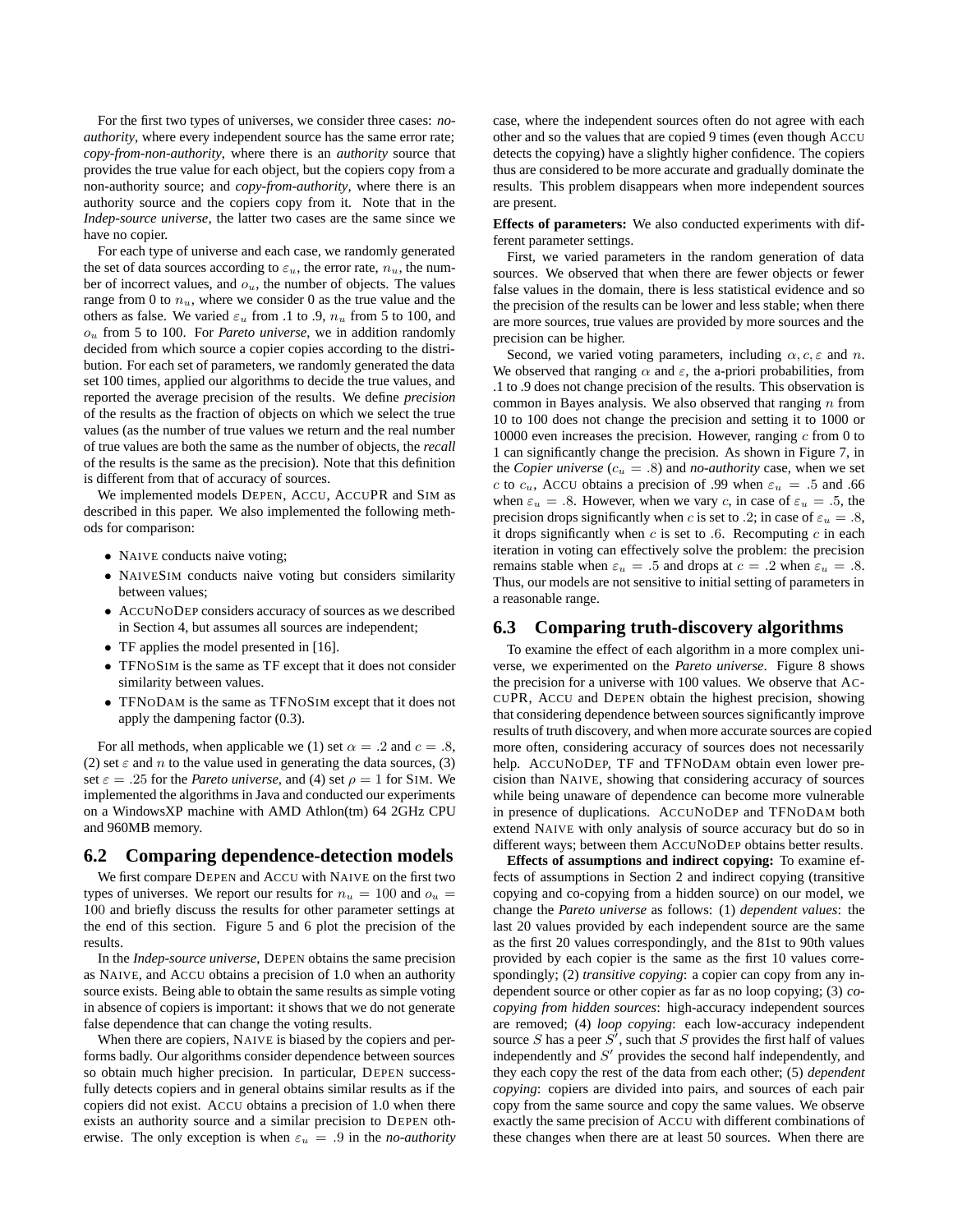For the first two types of universes, we consider three cases: *noauthority*, where every independent source has the same error rate; *copy-from-non-authority*, where there is an *authority* source that provides the true value for each object, but the copiers copy from a non-authority source; and *copy-from-authority*, where there is an authority source and the copiers copy from it. Note that in the *Indep-source universe*, the latter two cases are the same since we have no copier.

For each type of universe and each case, we randomly generated the set of data sources according to  $\varepsilon_u$ , the error rate,  $n_u$ , the number of incorrect values, and  $o<sub>u</sub>$ , the number of objects. The values range from 0 to  $n_u$ , where we consider 0 as the true value and the others as false. We varied  $\varepsilon_u$  from .1 to .9,  $n_u$  from 5 to 100, and  $o<sub>u</sub>$  from 5 to 100. For *Pareto universe*, we in addition randomly decided from which source a copier copies according to the distribution. For each set of parameters, we randomly generated the data set 100 times, applied our algorithms to decide the true values, and reported the average precision of the results. We define *precision* of the results as the fraction of objects on which we select the true values (as the number of true values we return and the real number of true values are both the same as the number of objects, the *recall* of the results is the same as the precision). Note that this definition is different from that of accuracy of sources.

We implemented models DEPEN, ACCU, ACCUPR and SIM as described in this paper. We also implemented the following methods for comparison:

- NAIVE conducts naive voting;
- NAIVESIM conducts naive voting but considers similarity between values;
- ACCUNODEP considers accuracy of sources as we described in Section 4, but assumes all sources are independent;
- TF applies the model presented in [16].
- TFNOSIM is the same as TF except that it does not consider similarity between values.
- TFNODAM is the same as TFNOSIM except that it does not apply the dampening factor (0.3).

For all methods, when applicable we (1) set  $\alpha = .2$  and  $c = .8$ , (2) set  $\varepsilon$  and n to the value used in generating the data sources, (3) set  $\varepsilon = .25$  for the *Pareto universe*, and (4) set  $\rho = 1$  for SIM. We implemented the algorithms in Java and conducted our experiments on a WindowsXP machine with AMD Athlon(tm) 64 2GHz CPU and 960MB memory.

# **6.2 Comparing dependence-detection models**

We first compare DEPEN and ACCU with NAIVE on the first two types of universes. We report our results for  $n_u = 100$  and  $o_u =$ 100 and briefly discuss the results for other parameter settings at the end of this section. Figure 5 and 6 plot the precision of the results.

In the *Indep-source universe*, DEPEN obtains the same precision as NAIVE, and ACCU obtains a precision of 1.0 when an authority source exists. Being able to obtain the same results as simple voting in absence of copiers is important: it shows that we do not generate false dependence that can change the voting results.

When there are copiers, NAIVE is biased by the copiers and performs badly. Our algorithms consider dependence between sources so obtain much higher precision. In particular, DEPEN successfully detects copiers and in general obtains similar results as if the copiers did not exist. ACCU obtains a precision of 1.0 when there exists an authority source and a similar precision to DEPEN otherwise. The only exception is when  $\varepsilon_u = .9$  in the *no-authority*  case, where the independent sources often do not agree with each other and so the values that are copied 9 times (even though ACCU detects the copying) have a slightly higher confidence. The copiers thus are considered to be more accurate and gradually dominate the results. This problem disappears when more independent sources are present.

**Effects of parameters:** We also conducted experiments with different parameter settings.

First, we varied parameters in the random generation of data sources. We observed that when there are fewer objects or fewer false values in the domain, there is less statistical evidence and so the precision of the results can be lower and less stable; when there are more sources, true values are provided by more sources and the precision can be higher.

Second, we varied voting parameters, including  $\alpha$ ,  $c$ ,  $\varepsilon$  and  $n$ . We observed that ranging  $\alpha$  and  $\varepsilon$ , the a-priori probabilities, from .1 to .9 does not change precision of the results. This observation is common in Bayes analysis. We also observed that ranging  $n$  from 10 to 100 does not change the precision and setting it to 1000 or 10000 even increases the precision. However, ranging  $c$  from 0 to 1 can significantly change the precision. As shown in Figure 7, in the *Copier universe* ( $c_u = .8$ ) and *no-authority* case, when we set c to  $c_u$ , ACCU obtains a precision of .99 when  $\varepsilon_u = .5$  and .66 when  $\varepsilon_u = .8$ . However, when we vary c, in case of  $\varepsilon_u = .5$ , the precision drops significantly when c is set to .2; in case of  $\varepsilon_u = .8$ , it drops significantly when  $c$  is set to .6. Recomputing  $c$  in each iteration in voting can effectively solve the problem: the precision remains stable when  $\varepsilon_u = .5$  and drops at  $c = .2$  when  $\varepsilon_u = .8$ . Thus, our models are not sensitive to initial setting of parameters in a reasonable range.

### **6.3 Comparing truth-discovery algorithms**

To examine the effect of each algorithm in a more complex universe, we experimented on the *Pareto universe*. Figure 8 shows the precision for a universe with 100 values. We observe that AC-CUPR, ACCU and DEPEN obtain the highest precision, showing that considering dependence between sources significantly improve results of truth discovery, and when more accurate sources are copied more often, considering accuracy of sources does not necessarily help. ACCUNODEP, TF and TFNODAM obtain even lower precision than NAIVE, showing that considering accuracy of sources while being unaware of dependence can become more vulnerable in presence of duplications. ACCUNODEP and TFNODAM both extend NAIVE with only analysis of source accuracy but do so in different ways; between them ACCUNODEP obtains better results.

**Effects of assumptions and indirect copying:** To examine effects of assumptions in Section 2 and indirect copying (transitive copying and co-copying from a hidden source) on our model, we change the *Pareto universe* as follows: (1) *dependent values*: the last 20 values provided by each independent source are the same as the first 20 values correspondingly, and the 81st to 90th values provided by each copier is the same as the first 10 values correspondingly; (2) *transitive copying*: a copier can copy from any independent source or other copier as far as no loop copying; (3) *cocopying from hidden sources*: high-accuracy independent sources are removed; (4) *loop copying*: each low-accuracy independent source  $S$  has a peer  $S'$ , such that  $S$  provides the first half of values independently and  $S'$  provides the second half independently, and they each copy the rest of the data from each other; (5) *dependent copying*: copiers are divided into pairs, and sources of each pair copy from the same source and copy the same values. We observe exactly the same precision of ACCU with different combinations of these changes when there are at least 50 sources. When there are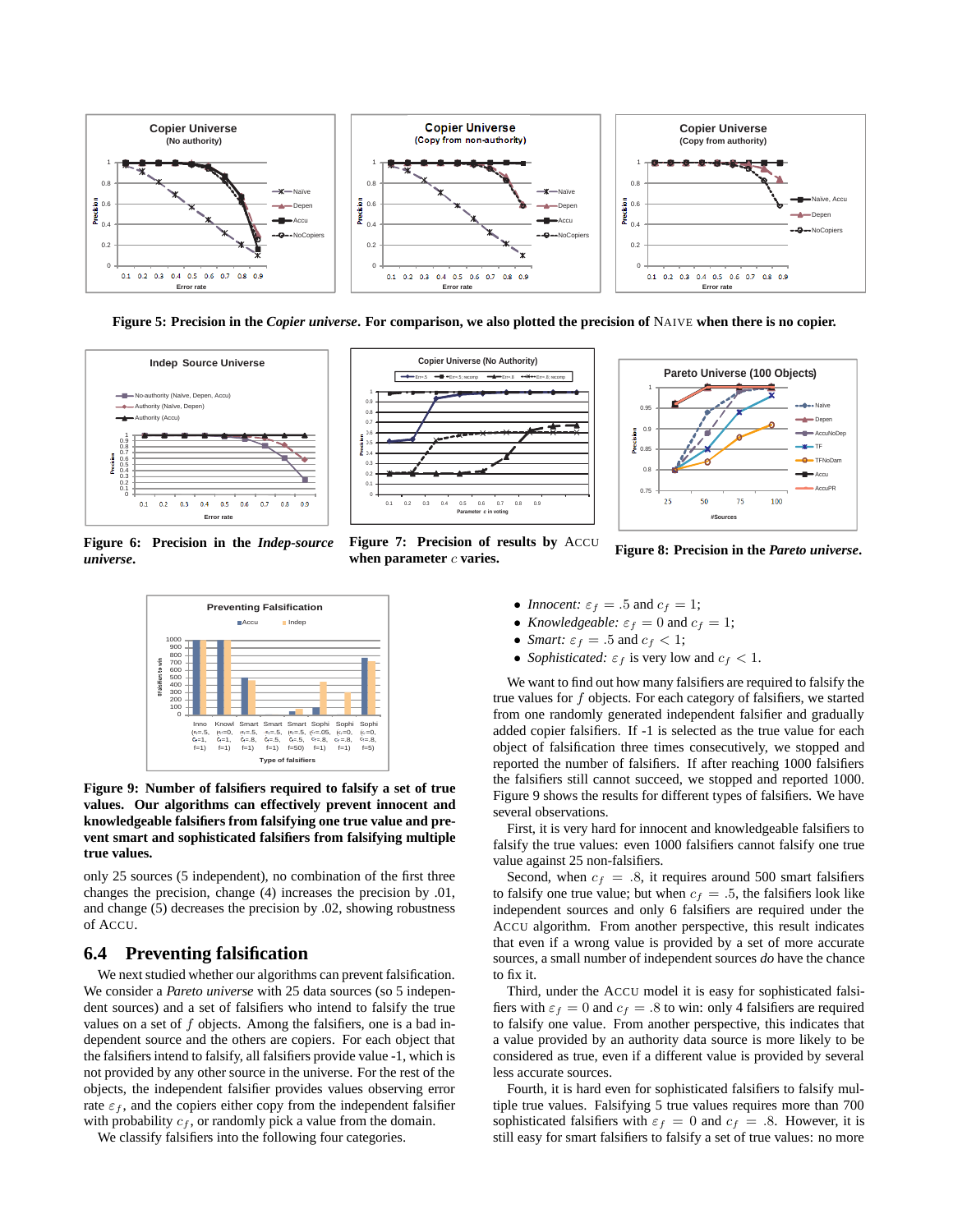

**Figure 5: Precision in the** *Copier universe***. For comparison, we also plotted the precision of** NAIVE **when there is no copier.**

**Copier Universe (No Authority)**  Err=.5 Err=.5; recomp Err=.8 Err=.8; recomp



**Figure 6: Precision in the** *Indep-source universe***.**



**Figure 9: Number of falsifiers required to falsify a set of true values. Our algorithms can effectively prevent innocent and knowledgeable falsifiers from falsifying one true value and prevent smart and sophisticated falsifiers from falsifying multiple true values.**

only 25 sources (5 independent), no combination of the first three changes the precision, change (4) increases the precision by .01, and change (5) decreases the precision by .02, showing robustness of ACCU.

# **6.4 Preventing falsification**

We next studied whether our algorithms can prevent falsification. We consider a *Pareto universe* with 25 data sources (so 5 independent sources) and a set of falsifiers who intend to falsify the true values on a set of  $f$  objects. Among the falsifiers, one is a bad independent source and the others are copiers. For each object that the falsifiers intend to falsify, all falsifiers provide value -1, which is not provided by any other source in the universe. For the rest of the objects, the independent falsifier provides values observing error rate  $\varepsilon_f$ , and the copiers either copy from the independent falsifier with probability  $c_f$ , or randomly pick a value from the domain.

We classify falsifiers into the following four categories.

**Figure 7: Precision of results by ACCU when parameter** c **varies.**

0.1
 0.2
 0.3
 0.4
 0.5
 0.6
 0.7
 0.8
 0.9

**Parameter c in voting** 

0 0.1 0.2 0.3 0.4 0.5 0.6 0.7 0.8 0.9 1

**A c u r
a c y** 

**Pareto Universe (100 Objects
)**  1 Naïve 0.95 **Depe** 0.9 **P r
e c i
s i
o n**  AccuNoDep TF 0.85 **TFNoD** 0.8 ÷ Accu 0.75 AccuPR 100 50 75 **#Sources** 

**Figure 8: Precision in the** *Pareto universe***.**

- *Innocent:*  $\varepsilon_f = .5$  and  $c_f = 1$ ;
- *Knowledgeable:*  $\varepsilon_f = 0$  and  $c_f = 1$ ;
- *Smart:*  $\varepsilon_f = .5$  and  $c_f < 1$ ;
- *Sophisticated:*  $\varepsilon_f$  is very low and  $c_f < 1$ .

We want to find out how many falsifiers are required to falsify the true values for f objects. For each category of falsifiers, we started from one randomly generated independent falsifier and gradually added copier falsifiers. If -1 is selected as the true value for each object of falsification three times consecutively, we stopped and reported the number of falsifiers. If after reaching 1000 falsifiers the falsifiers still cannot succeed, we stopped and reported 1000. Figure 9 shows the results for different types of falsifiers. We have several observations.

First, it is very hard for innocent and knowledgeable falsifiers to falsify the true values: even 1000 falsifiers cannot falsify one true value against 25 non-falsifiers.

Second, when  $c_f = .8$ , it requires around 500 smart falsifiers to falsify one true value; but when  $c_f = .5$ , the falsifiers look like independent sources and only 6 falsifiers are required under the ACCU algorithm. From another perspective, this result indicates that even if a wrong value is provided by a set of more accurate sources, a small number of independent sources *do* have the chance to fix it.

Third, under the ACCU model it is easy for sophisticated falsifiers with  $\varepsilon_f = 0$  and  $c_f = .8$  to win: only 4 falsifiers are required to falsify one value. From another perspective, this indicates that a value provided by an authority data source is more likely to be considered as true, even if a different value is provided by several less accurate sources.

Fourth, it is hard even for sophisticated falsifiers to falsify multiple true values. Falsifying 5 true values requires more than 700 sophisticated falsifiers with  $\varepsilon_f = 0$  and  $c_f = .8$ . However, it is still easy for smart falsifiers to falsify a set of true values: no more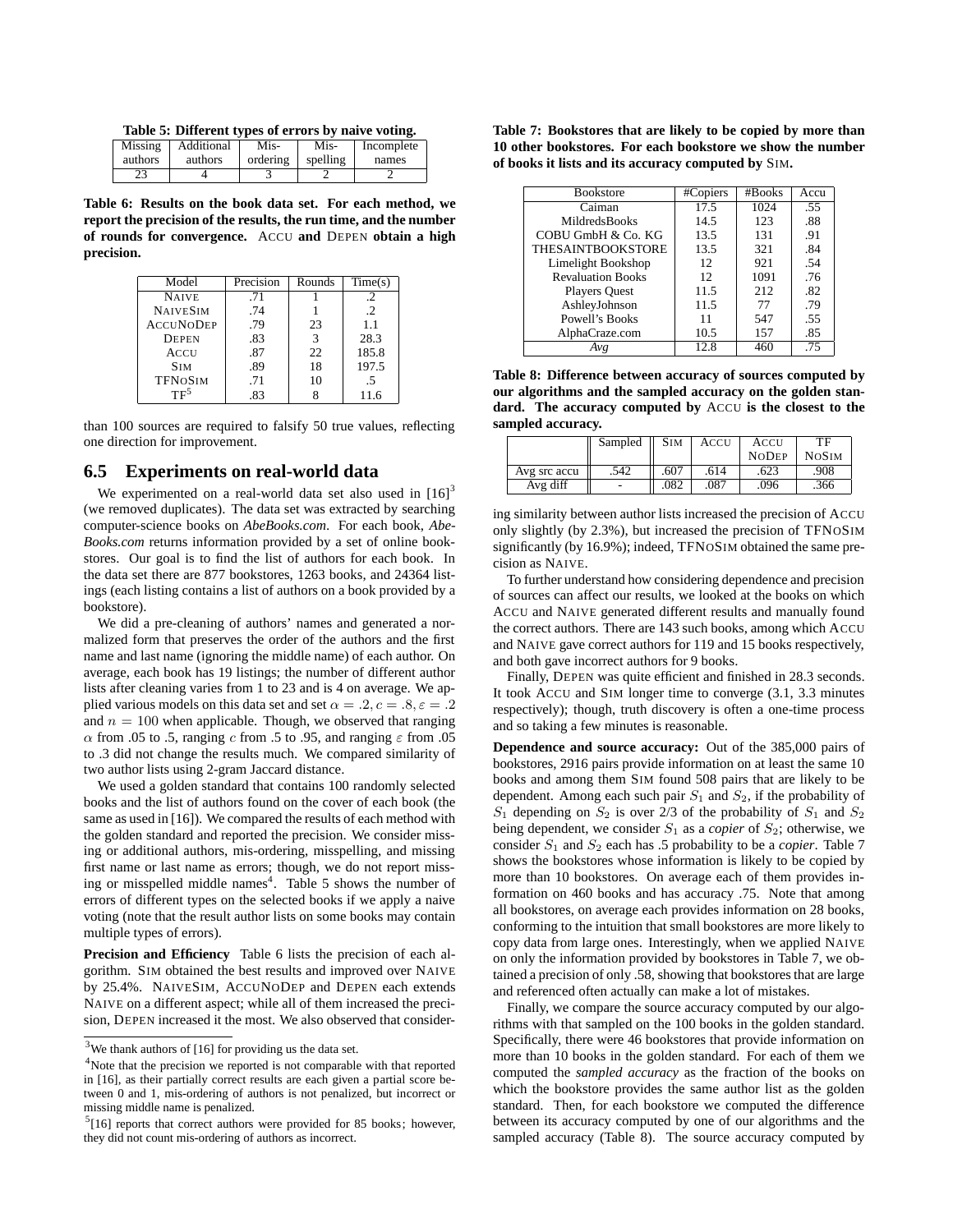**Table 5: Different types of errors by naive voting.**

| Missing | Additional | Mis-     | Mis-     | Incomplete |
|---------|------------|----------|----------|------------|
| authors | authors    | ordering | spelling | names      |
|         |            |          |          |            |

**Table 6: Results on the book data set. For each method, we report the precision of the results, the run time, and the number of rounds for convergence.** ACCU **and** DEPEN **obtain a high precision.**

| Model            | Precision | Rounds | Time(s)       |
|------------------|-----------|--------|---------------|
| <b>NAIVE</b>     | .71       |        |               |
| <b>NAIVESIM</b>  | .74       |        | $\mathcal{D}$ |
| <b>ACCUNODEP</b> | .79       | 23     | 1.1           |
| <b>DEPEN</b>     | .83       | 3      | 28.3          |
| ACCU             | .87       | 22     | 185.8         |
| <b>SIM</b>       | .89       | 18     | 197.5         |
| <b>TFNOSIM</b>   | .71       | 10     | -5            |
| $TF^5$           | .83       |        | 11.6          |

than 100 sources are required to falsify 50 true values, reflecting one direction for improvement.

# **6.5 Experiments on real-world data**

We experimented on a real-world data set also used in  $[16]$ <sup>3</sup> (we removed duplicates). The data set was extracted by searching computer-science books on *AbeBooks.com*. For each book, *Abe-Books.com* returns information provided by a set of online bookstores. Our goal is to find the list of authors for each book. In the data set there are 877 bookstores, 1263 books, and 24364 listings (each listing contains a list of authors on a book provided by a bookstore).

We did a pre-cleaning of authors' names and generated a normalized form that preserves the order of the authors and the first name and last name (ignoring the middle name) of each author. On average, each book has 19 listings; the number of different author lists after cleaning varies from 1 to 23 and is 4 on average. We applied various models on this data set and set  $\alpha = .2, c = .8, \epsilon = .2$ and  $n = 100$  when applicable. Though, we observed that ranging α from .05 to .5, ranging c from .5 to .95, and ranging ε from .05 to .3 did not change the results much. We compared similarity of two author lists using 2-gram Jaccard distance.

We used a golden standard that contains 100 randomly selected books and the list of authors found on the cover of each book (the same as used in [16]). We compared the results of each method with the golden standard and reported the precision. We consider missing or additional authors, mis-ordering, misspelling, and missing first name or last name as errors; though, we do not report missing or misspelled middle names<sup>4</sup>. Table 5 shows the number of errors of different types on the selected books if we apply a naive voting (note that the result author lists on some books may contain multiple types of errors).

**Precision and Efficiency** Table 6 lists the precision of each algorithm. SIM obtained the best results and improved over NAIVE by 25.4%. NAIVESIM, ACCUNODEP and DEPEN each extends NAIVE on a different aspect; while all of them increased the precision, DEPEN increased it the most. We also observed that consider-

**Table 7: Bookstores that are likely to be copied by more than 10 other bookstores. For each bookstore we show the number of books it lists and its accuracy computed by** SIM**.**

| <b>Bookstore</b>         | #Copiers | #Books | Accu |
|--------------------------|----------|--------|------|
| Caiman                   | 17.5     | 1024   | .55  |
| MildredsBooks            | 14.5     | 123    | .88  |
| COBU GmbH & Co. KG       | 13.5     | 131    | .91  |
| <b>THESAINTBOOKSTORE</b> | 13.5     | 321    | .84  |
| Limelight Bookshop       | 12       | 921    | .54  |
| <b>Revaluation Books</b> | 12       | 1091   | .76  |
| <b>Players Quest</b>     | 11.5     | 212    | .82  |
| AshleyJohnson            | 11.5     | 77     | .79  |
| Powell's Books           | 11       | 547    | .55  |
| AlphaCraze.com           | 10.5     | 157    | .85  |
| Avg                      | 12.8     | 460    | .75  |

**Table 8: Difference between accuracy of sources computed by our algorithms and the sampled accuracy on the golden standard. The accuracy computed by** ACCU **is the closest to the sampled accuracy.**

|              | Sampled | <b>SIM</b> | Accu | ACCU         | TF           |
|--------------|---------|------------|------|--------------|--------------|
|              |         |            |      | <b>NODEP</b> | <b>NOSIM</b> |
| Avg src accu | .542    | .607       | .614 | .623         | .908         |
| Avg diff     |         | 082        | .087 | .096         | .366         |

ing similarity between author lists increased the precision of ACCU only slightly (by 2.3%), but increased the precision of TFNOSIM significantly (by 16.9%); indeed, TFNOSIM obtained the same precision as NAIVE.

To further understand how considering dependence and precision of sources can affect our results, we looked at the books on which ACCU and NAIVE generated different results and manually found the correct authors. There are 143 such books, among which ACCU and NAIVE gave correct authors for 119 and 15 books respectively, and both gave incorrect authors for 9 books.

Finally, DEPEN was quite efficient and finished in 28.3 seconds. It took ACCU and SIM longer time to converge (3.1, 3.3 minutes respectively); though, truth discovery is often a one-time process and so taking a few minutes is reasonable.

**Dependence and source accuracy:** Out of the 385,000 pairs of bookstores, 2916 pairs provide information on at least the same 10 books and among them SIM found 508 pairs that are likely to be dependent. Among each such pair  $S_1$  and  $S_2$ , if the probability of  $S_1$  depending on  $S_2$  is over 2/3 of the probability of  $S_1$  and  $S_2$ being dependent, we consider  $S_1$  as a *copier* of  $S_2$ ; otherwise, we consider  $S_1$  and  $S_2$  each has .5 probability to be a *copier*. Table 7 shows the bookstores whose information is likely to be copied by more than 10 bookstores. On average each of them provides information on 460 books and has accuracy .75. Note that among all bookstores, on average each provides information on 28 books, conforming to the intuition that small bookstores are more likely to copy data from large ones. Interestingly, when we applied NAIVE on only the information provided by bookstores in Table 7, we obtained a precision of only .58, showing that bookstores that are large and referenced often actually can make a lot of mistakes.

Finally, we compare the source accuracy computed by our algorithms with that sampled on the 100 books in the golden standard. Specifically, there were 46 bookstores that provide information on more than 10 books in the golden standard. For each of them we computed the *sampled accuracy* as the fraction of the books on which the bookstore provides the same author list as the golden standard. Then, for each bookstore we computed the difference between its accuracy computed by one of our algorithms and the sampled accuracy (Table 8). The source accuracy computed by

 $3$ We thank authors of [16] for providing us the data set.

<sup>&</sup>lt;sup>4</sup>Note that the precision we reported is not comparable with that reported in [16], as their partially correct results are each given a partial score between 0 and 1, mis-ordering of authors is not penalized, but incorrect or missing middle name is penalized.

 $5[16]$  reports that correct authors were provided for 85 books; however, they did not count mis-ordering of authors as incorrect.